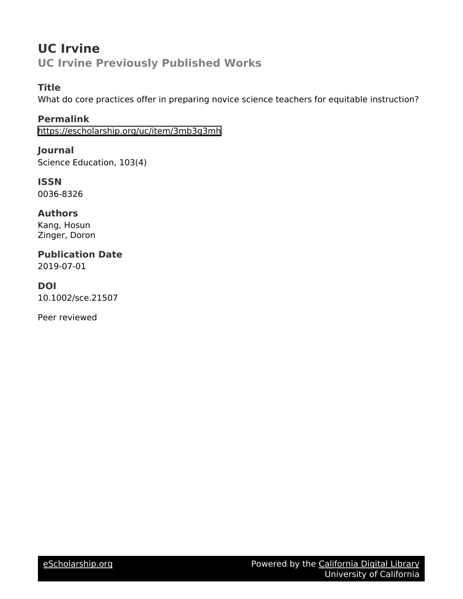# **UC Irvine UC Irvine Previously Published Works**

### **Title**

What do core practices offer in preparing novice science teachers for equitable instruction?

**Permalink** <https://escholarship.org/uc/item/3mb3g3mh>

**Journal** Science Education, 103(4)

**ISSN** 0036-8326

**Authors** Kang, Hosun Zinger, Doron

**Publication Date** 2019-07-01

**DOI** 10.1002/sce.21507

Peer reviewed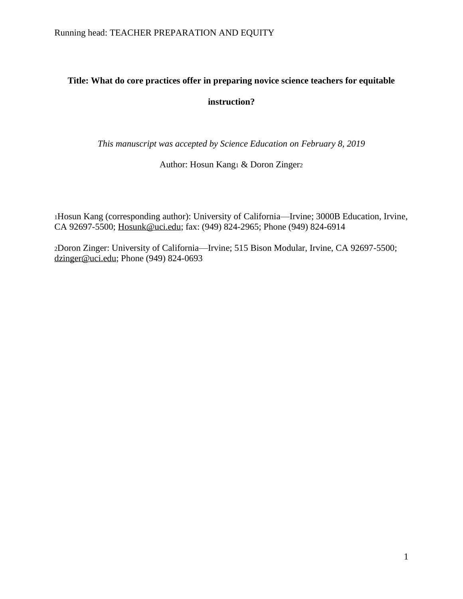# **Title: What do core practices offer in preparing novice science teachers for equitable instruction?**

*This manuscript was accepted by Science Education on February 8, 2019*

Author: Hosun Kang<sup>1</sup> & Doron Zinger<sup>2</sup>

<sup>1</sup>Hosun Kang (corresponding author): University of California—Irvine; 3000B Education, Irvine, CA 92697-5500; [Hosunk@uci.edu;](mailto:Hosunk@uci.edu) fax: (949) 824-2965; Phone (949) 824-6914

<sup>2</sup>Doron Zinger: University of California—Irvine; 515 Bison Modular, Irvine, CA 92697-5500; dzinger@uci.edu; Phone (949) 824-0693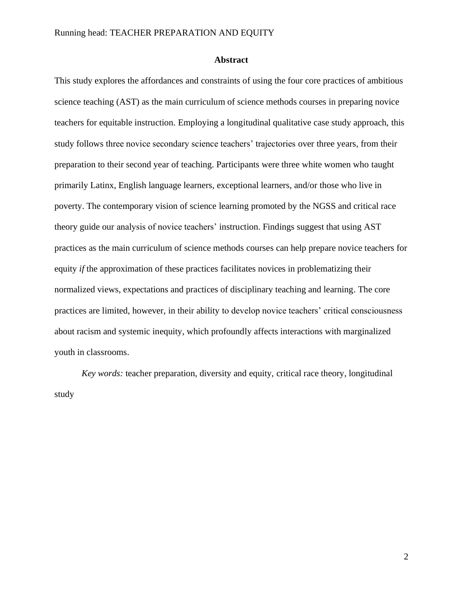### **Abstract**

This study explores the affordances and constraints of using the four core practices of ambitious science teaching (AST) as the main curriculum of science methods courses in preparing novice teachers for equitable instruction. Employing a longitudinal qualitative case study approach, this study follows three novice secondary science teachers' trajectories over three years, from their preparation to their second year of teaching. Participants were three white women who taught primarily Latinx, English language learners, exceptional learners, and/or those who live in poverty. The contemporary vision of science learning promoted by the NGSS and critical race theory guide our analysis of novice teachers' instruction. Findings suggest that using AST practices as the main curriculum of science methods courses can help prepare novice teachers for equity *if* the approximation of these practices facilitates novices in problematizing their normalized views, expectations and practices of disciplinary teaching and learning. The core practices are limited, however, in their ability to develop novice teachers' critical consciousness about racism and systemic inequity, which profoundly affects interactions with marginalized youth in classrooms.

*Key words:* teacher preparation, diversity and equity, critical race theory, longitudinal study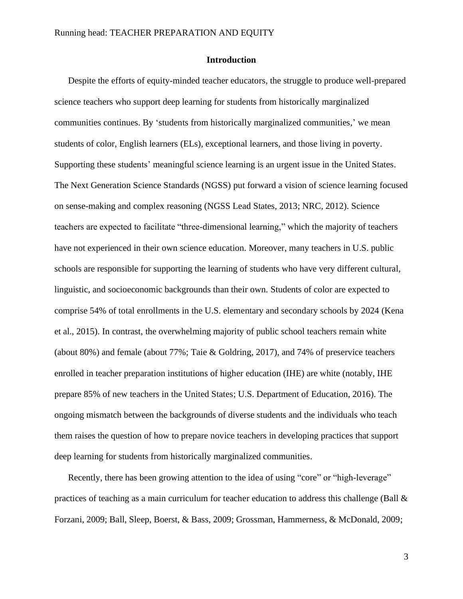### **Introduction**

Despite the efforts of equity-minded teacher educators, the struggle to produce well-prepared science teachers who support deep learning for students from historically marginalized communities continues. By 'students from historically marginalized communities,' we mean students of color, English learners (ELs), exceptional learners, and those living in poverty. Supporting these students' meaningful science learning is an urgent issue in the United States. The Next Generation Science Standards (NGSS) put forward a vision of science learning focused on sense-making and complex reasoning [\(NGSS Lead States, 2013;](#page-56-0) [NRC, 2012\)](#page-56-1). Science teachers are expected to facilitate "three-dimensional learning," which the majority of teachers have not experienced in their own science education. Moreover, many teachers in U.S. public schools are responsible for supporting the learning of students who have very different cultural, linguistic, and socioeconomic backgrounds than their own. Students of color are expected to comprise 54% of total enrollments in the U.S. elementary and secondary schools by 2024 [\(Kena](#page-54-0)  [et al., 2015\)](#page-54-0). In contrast, the overwhelming majority of public school teachers remain white (about 80%) and female (about 77%; [Taie & Goldring, 2017\)](#page-57-0), and 74% of preservice teachers enrolled in teacher preparation institutions of higher education (IHE) are white (notably, IHE prepare 85% of new teachers in the United States; [U.S. Department of Education, 2016\)](#page-57-1). The ongoing mismatch between the backgrounds of diverse students and the individuals who teach them raises the question of how to prepare novice teachers in developing practices that support deep learning for students from historically marginalized communities.

Recently, there has been growing attention to the idea of using "core" or "high-leverage" practices of teaching as a main curriculum for teacher education to address this challenge (Ball  $\&$ [Forzani, 2009;](#page-50-0) [Ball, Sleep, Boerst, & Bass, 2009;](#page-50-1) [Grossman, Hammerness, & McDonald, 2009;](#page-53-0)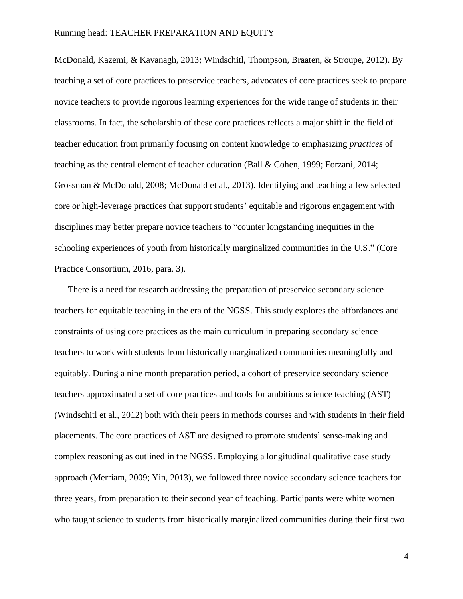[McDonald, Kazemi, & Kavanagh, 2013;](#page-55-0) [Windschitl, Thompson, Braaten, & Stroupe, 2012\)](#page-57-2). By teaching a set of core practices to preservice teachers, advocates of core practices seek to prepare novice teachers to provide rigorous learning experiences for the wide range of students in their classrooms. In fact, the scholarship of these core practices reflects a major shift in the field of teacher education from primarily focusing on content knowledge to emphasizing *practices* of teaching as the central element of teacher education [\(Ball & Cohen, 1999;](#page-50-2) [Forzani, 2014;](#page-52-0) [Grossman & McDonald, 2008;](#page-53-1) [McDonald et al., 2013\)](#page-55-0). Identifying and teaching a few selected core or high-leverage practices that support students' equitable and rigorous engagement with disciplines may better prepare novice teachers to "counter longstanding inequities in the schooling experiences of youth from historically marginalized communities in the U.S." [\(Core](#page-52-1)  [Practice Consortium, 2016,](#page-52-1) para. 3).

There is a need for research addressing the preparation of preservice secondary science teachers for equitable teaching in the era of the NGSS. This study explores the affordances and constraints of using core practices as the main curriculum in preparing secondary science teachers to work with students from historically marginalized communities meaningfully and equitably. During a nine month preparation period, a cohort of preservice secondary science teachers approximated a set of core practices and tools for ambitious science teaching (AST) [\(Windschitl et al., 2012\)](#page-57-2) both with their peers in methods courses and with students in their field placements. The core practices of AST are designed to promote students' sense-making and complex reasoning as outlined in the NGSS. Employing a longitudinal qualitative case study approach [\(Merriam, 2009;](#page-56-2) [Yin, 2013\)](#page-57-3), we followed three novice secondary science teachers for three years, from preparation to their second year of teaching. Participants were white women who taught science to students from historically marginalized communities during their first two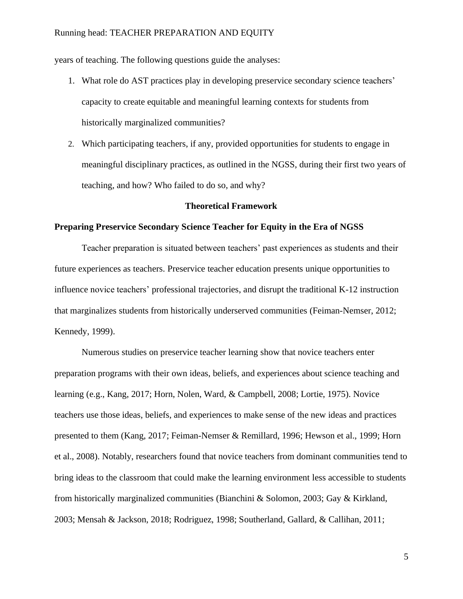years of teaching. The following questions guide the analyses:

- 1. What role do AST practices play in developing preservice secondary science teachers' capacity to create equitable and meaningful learning contexts for students from historically marginalized communities?
- 2. Which participating teachers, if any, provided opportunities for students to engage in meaningful disciplinary practices, as outlined in the NGSS, during their first two years of teaching, and how? Who failed to do so, and why?

### **Theoretical Framework**

### **Preparing Preservice Secondary Science Teacher for Equity in the Era of NGSS**

Teacher preparation is situated between teachers' past experiences as students and their future experiences as teachers. Preservice teacher education presents unique opportunities to influence novice teachers' professional trajectories, and disrupt the traditional K-12 instruction that marginalizes students from historically underserved communities (Feiman-Nemser, 2012; Kennedy, 1999).

Numerous studies on preservice teacher learning show that novice teachers enter preparation programs with their own ideas, beliefs, and experiences about science teaching and learning (e.g., [Kang,](#page-54-0) 2017; [Horn, Nolen, Ward, & Campbell, 2008;](#page-54-1) [Lortie, 1975\)](#page-55-1). Novice teachers use those ideas, beliefs, and experiences to make sense of the new ideas and practices presented to them (Kang, 2017; [Feiman-Nemser & Remillard, 1996;](#page-52-2) [Hewson et al., 1999;](#page-54-2) [Horn](#page-54-1)  [et al., 2008\)](#page-54-1). Notably, researchers found that novice teachers from dominant communities tend to bring ideas to the classroom that could make the learning environment less accessible to students from historically marginalized communities [\(Bianchini & Solomon, 2003;](#page-51-0) [Gay & Kirkland,](#page-53-2)  [2003;](#page-53-2) [Mensah & Jackson, 2018;](#page-56-3) [Rodriguez, 1998;](#page-56-4) [Southerland, Gallard, & Callihan, 2011;](#page-57-4)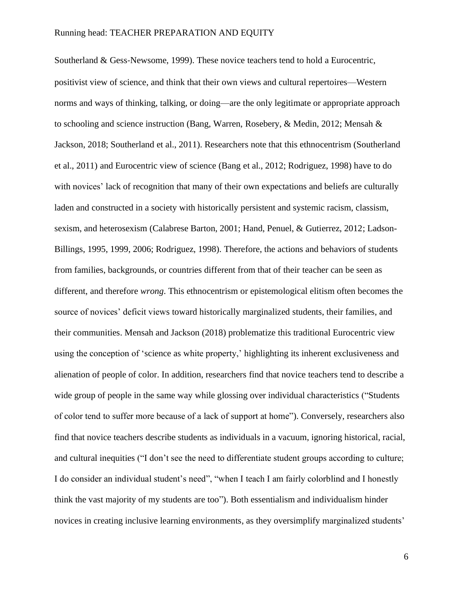[Southerland & Gess](#page-57-5)‐Newsome, 1999). These novice teachers tend to hold a Eurocentric, positivist view of science, and think that their own views and cultural repertoires—Western norms and ways of thinking, talking, or doing—are the only legitimate or appropriate approach to schooling and science instruction [\(Bang, Warren, Rosebery, & Medin, 2012;](#page-50-3) [Mensah &](#page-56-3)  [Jackson, 2018;](#page-56-3) [Southerland et al., 2011\)](#page-57-4). Researchers note that this ethnocentrism (Southerland et al., 2011) and Eurocentric view of science [\(Bang et al., 2012;](#page-50-3) [Rodriguez, 1998\)](#page-56-4) have to do with novices' lack of recognition that many of their own expectations and beliefs are culturally laden and constructed in a society with historically persistent and systemic racism, classism, sexism, and heterosexism [\(Calabrese Barton, 2001;](#page-51-1) [Hand, Penuel, & Gutierrez, 2012;](#page-54-3) [Ladson-](#page-55-2)[Billings, 1995,](#page-55-2) [1999,](#page-55-3) [2006;](#page-55-4) [Rodriguez, 1998\)](#page-56-4). Therefore, the actions and behaviors of students from families, backgrounds, or countries different from that of their teacher can be seen as different, and therefore *wrong*. This ethnocentrism or epistemological elitism often becomes the source of novices' deficit views toward historically marginalized students, their families, and their communities. Mensah and Jackson (2018) problematize this traditional Eurocentric view using the conception of 'science as white property,' highlighting its inherent exclusiveness and alienation of people of color. In addition, researchers find that novice teachers tend to describe a wide group of people in the same way while glossing over individual characteristics ("Students of color tend to suffer more because of a lack of support at home"). Conversely, researchers also find that novice teachers describe students as individuals in a vacuum, ignoring historical, racial, and cultural inequities ("I don't see the need to differentiate student groups according to culture; I do consider an individual student's need", "when I teach I am fairly colorblind and I honestly think the vast majority of my students are too"). Both essentialism and individualism hinder novices in creating inclusive learning environments, as they oversimplify marginalized students'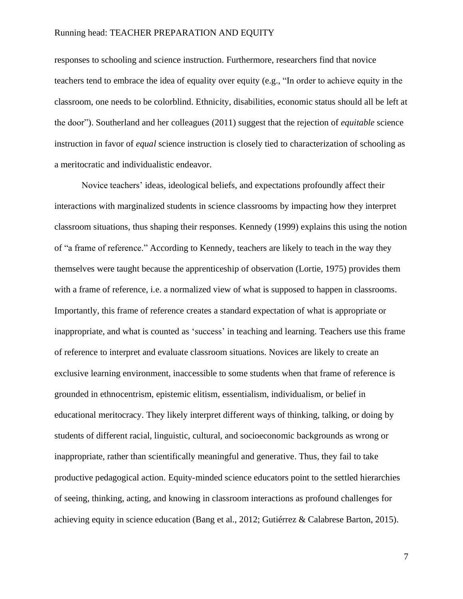responses to schooling and science instruction. Furthermore, researchers find that novice teachers tend to embrace the idea of equality over equity (e.g., "In order to achieve equity in the classroom, one needs to be colorblind. Ethnicity, disabilities, economic status should all be left at the door"). Southerland and her colleagues [\(2011\)](#page-57-4) suggest that the rejection of *equitable* science instruction in favor of *equal* science instruction is closely tied to characterization of schooling as a meritocratic and individualistic endeavor.

Novice teachers' ideas, ideological beliefs, and expectations profoundly affect their interactions with marginalized students in science classrooms by impacting how they interpret classroom situations, thus shaping their responses. Kennedy [\(1999\)](#page-54-4) explains this using the notion of "a frame of reference." According to Kennedy, teachers are likely to teach in the way they themselves were taught because the apprenticeship of observation [\(Lortie, 1975\)](#page-55-1) provides them with a frame of reference, i.e. a normalized view of what is supposed to happen in classrooms. Importantly, this frame of reference creates a standard expectation of what is appropriate or inappropriate, and what is counted as 'success' in teaching and learning. Teachers use this frame of reference to interpret and evaluate classroom situations. Novices are likely to create an exclusive learning environment, inaccessible to some students when that frame of reference is grounded in ethnocentrism, epistemic elitism, essentialism, individualism, or belief in educational meritocracy. They likely interpret different ways of thinking, talking, or doing by students of different racial, linguistic, cultural, and socioeconomic backgrounds as wrong or inappropriate, rather than scientifically meaningful and generative. Thus, they fail to take productive pedagogical action. Equity-minded science educators point to the settled hierarchies of seeing, thinking, acting, and knowing in classroom interactions as profound challenges for achieving equity in science education (Bang [et al., 2012;](https://docs.google.com/document/d/1MlV94ueMSkkT6GJOm1hcHvVXjIUrgAfB1FQwgXvWTWk/edit#heading=h.3dy6vkm) [Gutiérrez & Calabrese Barton, 2015\)](https://docs.google.com/document/d/1MlV94ueMSkkT6GJOm1hcHvVXjIUrgAfB1FQwgXvWTWk/edit#heading=h.4i7ojhp).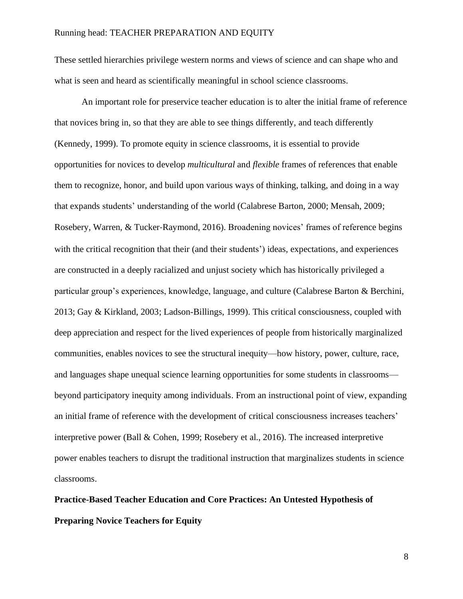These settled hierarchies privilege western norms and views of science and can shape who and what is seen and heard as scientifically meaningful in school science classrooms.

An important role for preservice teacher education is to alter the initial frame of reference that novices bring in, so that they are able to see things differently, and teach differently [\(Kennedy, 1999\)](#page-54-4). To promote equity in science classrooms, it is essential to provide opportunities for novices to develop *multicultural* and *flexible* frames of references that enable them to recognize, honor, and build upon various ways of thinking, talking, and doing in a way that expands students' understanding of the world [\(Calabrese Barton, 2000;](#page-51-2) [Mensah, 2009;](#page-55-5) [Rosebery, Warren, & Tucker](#page-56-5)‐Raymond, 2016). Broadening novices' frames of reference begins with the critical recognition that their (and their students') ideas, expectations, and experiences are constructed in a deeply racialized and unjust society which has historically privileged a particular group's experiences, knowledge, language, and culture (Calabrese Barton & Berchini, 2013; [Gay & Kirkland, 2003;](#page-53-2) [Ladson-Billings, 1999\)](#page-55-3). This critical consciousness, coupled with deep appreciation and respect for the lived experiences of people from historically marginalized communities, enables novices to see the structural inequity—how history, power, culture, race, and languages shape unequal science learning opportunities for some students in classrooms beyond participatory inequity among individuals. From an instructional point of view, expanding an initial frame of reference with the development of critical consciousness increases teachers' interpretive power [\(Ball & Cohen, 1999;](#page-50-2) [Rosebery et al., 2016\)](#page-56-5). The increased interpretive power enables teachers to disrupt the traditional instruction that marginalizes students in science classrooms.

**Practice-Based Teacher Education and Core Practices: An Untested Hypothesis of Preparing Novice Teachers for Equity**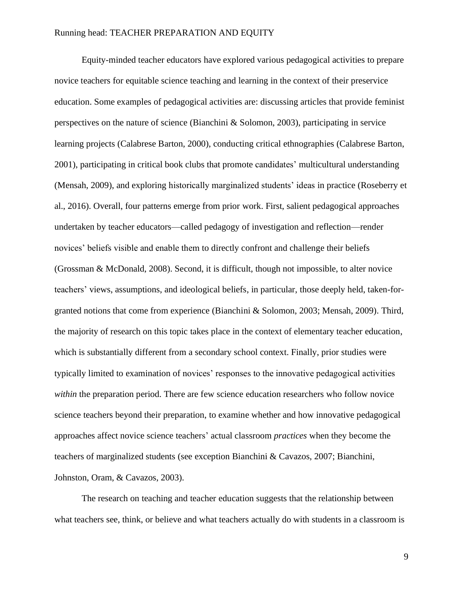Equity-minded teacher educators have explored various pedagogical activities to prepare novice teachers for equitable science teaching and learning in the context of their preservice education. Some examples of pedagogical activities are: discussing articles that provide feminist perspectives on the nature of science [\(Bianchini & Solomon, 2003\)](#page-51-0), participating in service learning projects [\(Calabrese Barton, 2000\)](#page-51-2), conducting critical ethnographies [\(Calabrese Barton,](#page-51-1)  [2001\)](#page-51-1), participating in critical book clubs that promote candidates' multicultural understanding [\(Mensah, 2009\)](#page-55-5), and exploring historically marginalized students' ideas in practice (Roseberry et al., 2016). Overall, four patterns emerge from prior work. First, salient pedagogical approaches undertaken by teacher educators—called pedagogy of investigation and reflection—render novices' beliefs visible and enable them to directly confront and challenge their beliefs [\(Grossman & McDonald, 2008\)](#page-53-1). Second, it is difficult, though not impossible, to alter novice teachers' views, assumptions, and ideological beliefs, in particular, those deeply held, taken-forgranted notions that come from experience [\(Bianchini & Solomon, 2003;](#page-51-0) [Mensah, 2009\)](#page-55-5). Third, the majority of research on this topic takes place in the context of elementary teacher education, which is substantially different from a secondary school context. Finally, prior studies were typically limited to examination of novices' responses to the innovative pedagogical activities *within* the preparation period. There are few science education researchers who follow novice science teachers beyond their preparation, to examine whether and how innovative pedagogical approaches affect novice science teachers' actual classroom *practices* when they become the teachers of marginalized students (see exception Bianchini & Cavazos, 2007; Bianchini, Johnston, Oram, & Cavazos, 2003).

The research on teaching and teacher education suggests that the relationship between what teachers see, think, or believe and what teachers actually do with students in a classroom is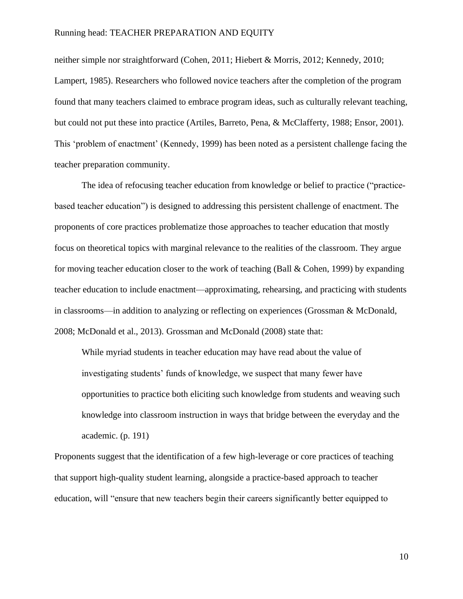neither simple nor straightforward [\(Cohen, 2011;](#page-52-3) [Hiebert & Morris, 2012;](#page-54-5) [Kennedy, 2010;](#page-54-6) Lampert, 1985). Researchers who followed novice teachers after the completion of the program found that many teachers claimed to embrace program ideas, such as culturally relevant teaching, but could not put these into practice [\(Artiles, Barreto, Pena, & McClafferty, 1988;](#page-50-4) [Ensor, 2001\)](#page-52-4). This 'problem of enactment' (Kennedy, 1999) has been noted as a persistent challenge facing the teacher preparation community.

The idea of refocusing teacher education from knowledge or belief to practice ("practicebased teacher education") is designed to addressing this persistent challenge of enactment. The proponents of core practices problematize those approaches to teacher education that mostly focus on theoretical topics with marginal relevance to the realities of the classroom. They argue for moving teacher education closer to the work of teaching [\(Ball & Cohen, 1999\)](#page-50-2) by expanding teacher education to include enactment—approximating, rehearsing, and practicing with students in classrooms—in addition to analyzing or reflecting on experiences [\(Grossman & McDonald,](#page-53-1)  [2008;](#page-53-1) [McDonald et al., 2013\)](#page-55-0). Grossman and McDonald (2008) state that:

While myriad students in teacher education may have read about the value of investigating students' funds of knowledge, we suspect that many fewer have opportunities to practice both eliciting such knowledge from students and weaving such knowledge into classroom instruction in ways that bridge between the everyday and the academic. (p. 191)

Proponents suggest that the identification of a few high-leverage or core practices of teaching that support high-quality student learning, alongside a practice-based approach to teacher education, will "ensure that new teachers begin their careers significantly better equipped to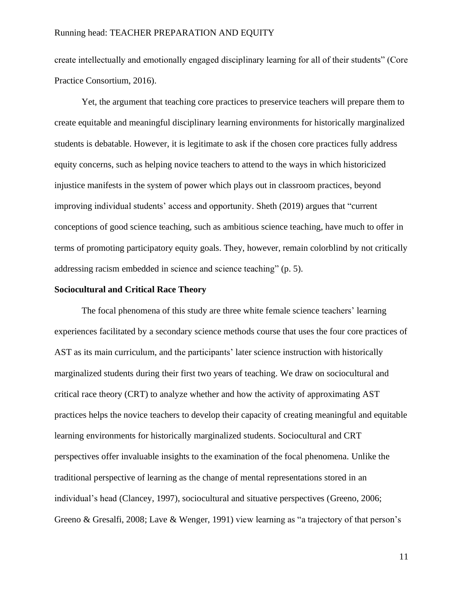create intellectually and emotionally engaged disciplinary learning for all of their students" (Core Practice Consortium, 2016).

Yet, the argument that teaching core practices to preservice teachers will prepare them to create equitable and meaningful disciplinary learning environments for historically marginalized students is debatable. However, it is legitimate to ask if the chosen core practices fully address equity concerns, such as helping novice teachers to attend to the ways in which historicized injustice manifests in the system of power which plays out in classroom practices, beyond improving individual students' access and opportunity. Sheth (2019) argues that "current conceptions of good science teaching, such as ambitious science teaching, have much to offer in terms of promoting participatory equity goals. They, however, remain colorblind by not critically addressing racism embedded in science and science teaching" (p. 5).

### **Sociocultural and Critical Race Theory**

The focal phenomena of this study are three white female science teachers' learning experiences facilitated by a secondary science methods course that uses the four core practices of AST as its main curriculum, and the participants' later science instruction with historically marginalized students during their first two years of teaching. We draw on sociocultural and critical race theory (CRT) to analyze whether and how the activity of approximating AST practices helps the novice teachers to develop their capacity of creating meaningful and equitable learning environments for historically marginalized students. Sociocultural and CRT perspectives offer invaluable insights to the examination of the focal phenomena. Unlike the traditional perspective of learning as the change of mental representations stored in an individual's head [\(Clancey, 1997\)](#page-51-3), sociocultural and situative perspectives [\(Greeno, 2006;](https://docs.google.com/document/d/1MlV94ueMSkkT6GJOm1hcHvVXjIUrgAfB1FQwgXvWTWk/edit#heading=h.2jxsxqh) [Greeno & Gresalfi, 2008;](https://docs.google.com/document/d/1MlV94ueMSkkT6GJOm1hcHvVXjIUrgAfB1FQwgXvWTWk/edit#heading=h.z337ya) [Lave & Wenger, 1991\)](https://docs.google.com/document/d/1MlV94ueMSkkT6GJOm1hcHvVXjIUrgAfB1FQwgXvWTWk/edit#heading=h.1pxezwc) view learning as "a trajectory of that person's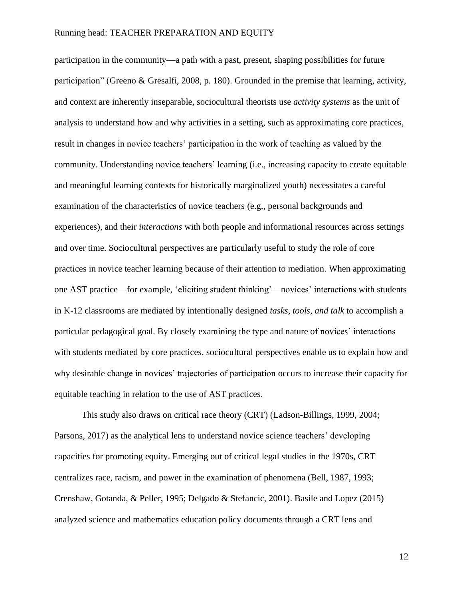participation in the community—a path with a past, present, shaping possibilities for future participation" [\(Greeno & Gresalfi, 2008, p. 180\)](https://docs.google.com/document/d/1MlV94ueMSkkT6GJOm1hcHvVXjIUrgAfB1FQwgXvWTWk/edit#heading=h.z337ya). Grounded in the premise that learning, activity, and context are inherently inseparable, sociocultural theorists use *activity systems* as the unit of analysis to understand how and why activities in a setting, such as approximating core practices, result in changes in novice teachers' participation in the work of teaching as valued by the community. Understanding novice teachers' learning (i.e., increasing capacity to create equitable and meaningful learning contexts for historically marginalized youth) necessitates a careful examination of the characteristics of novice teachers (e.g., personal backgrounds and experiences), and their *interactions* with both people and informational resources across settings and over time. Sociocultural perspectives are particularly useful to study the role of core practices in novice teacher learning because of their attention to mediation. When approximating one AST practice—for example, 'eliciting student thinking'—novices' interactions with students in K-12 classrooms are mediated by intentionally designed *tasks, tools, and talk* to accomplish a particular pedagogical goal. By closely examining the type and nature of novices' interactions with students mediated by core practices, sociocultural perspectives enable us to explain how and why desirable change in novices' trajectories of participation occurs to increase their capacity for equitable teaching in relation to the use of AST practices.

This study also draws on critical race theory (CRT) [\(Ladson-Billings, 1999,](#page-55-3) [2004;](#page-55-6) [Parsons, 2017\)](#page-56-6) as the analytical lens to understand novice science teachers' developing capacities for promoting equity. Emerging out of critical legal studies in the 1970s, CRT centralizes race, racism, and power in the examination of phenomena (Bell, 1987, 1993; Crenshaw, Gotanda, & Peller, 1995; Delgado & Stefancic, 2001). Basile and Lopez (2015) analyzed science and mathematics education policy documents through a CRT lens and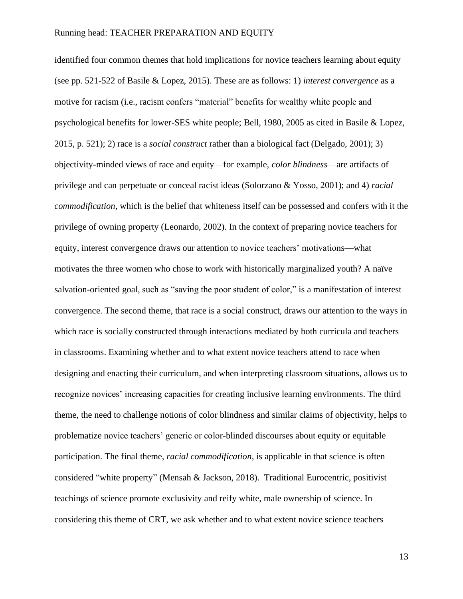identified four common themes that hold implications for novice teachers learning about equity (see pp. 521-522 of Basile & Lopez, 2015). These are as follows: 1) *interest convergence* as a motive for racism (i.e., racism confers "material" benefits for wealthy white people and psychological benefits for lower-SES white people; Bell, 1980, 2005 as cited in Basile & Lopez, 2015, p. 521); 2) race is a *social construct* rather than a biological fact (Delgado, 2001); 3) objectivity-minded views of race and equity—for example, *color blindness*—are artifacts of privilege and can perpetuate or conceal racist ideas (Solorzano & Yosso, 2001); and 4) *racial commodification,* which is the belief that whiteness itself can be possessed and confers with it the privilege of owning property (Leonardo, 2002). In the context of preparing novice teachers for equity, interest convergence draws our attention to novice teachers' motivations—what motivates the three women who chose to work with historically marginalized youth? A naïve salvation-oriented goal, such as "saving the poor student of color," is a manifestation of interest convergence. The second theme, that race is a social construct, draws our attention to the ways in which race is socially constructed through interactions mediated by both curricula and teachers in classrooms. Examining whether and to what extent novice teachers attend to race when designing and enacting their curriculum, and when interpreting classroom situations, allows us to recognize novices' increasing capacities for creating inclusive learning environments. The third theme, the need to challenge notions of color blindness and similar claims of objectivity, helps to problematize novice teachers' generic or color-blinded discourses about equity or equitable participation. The final theme, *racial commodification*, is applicable in that science is often considered "white property" (Mensah & Jackson, 2018). Traditional Eurocentric, positivist teachings of science promote exclusivity and reify white, male ownership of science. In considering this theme of CRT, we ask whether and to what extent novice science teachers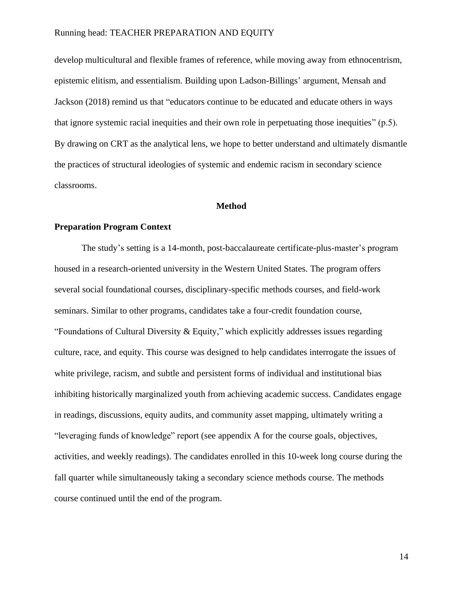develop multicultural and flexible frames of reference, while moving away from ethnocentrism, epistemic elitism, and essentialism. Building upon Ladson-Billings' argument, Mensah and Jackson (2018) remind us that "educators continue to be educated and educate others in ways that ignore systemic racial inequities and their own role in perpetuating those inequities" (p.5). By drawing on CRT as the analytical lens, we hope to better understand and ultimately dismantle the practices of structural ideologies of systemic and endemic racism in secondary science classrooms.

### **Method**

### **Preparation Program Context**

The study's setting is a 14-month, post-baccalaureate certificate-plus-master's program housed in a research-oriented university in the Western United States. The program offers several social foundational courses, disciplinary-specific methods courses, and field-work seminars. Similar to other programs, candidates take a four-credit foundation course, "Foundations of Cultural Diversity & Equity," which explicitly addresses issues regarding culture, race, and equity. This course was designed to help candidates interrogate the issues of white privilege, racism, and subtle and persistent forms of individual and institutional bias inhibiting historically marginalized youth from achieving academic success. Candidates engage in readings, discussions, equity audits, and community asset mapping, ultimately writing a "leveraging funds of knowledge" report (see appendix A for the course goals, objectives, activities, and weekly readings). The candidates enrolled in this 10-week long course during the fall quarter while simultaneously taking a secondary science methods course. The methods course continued until the end of the program.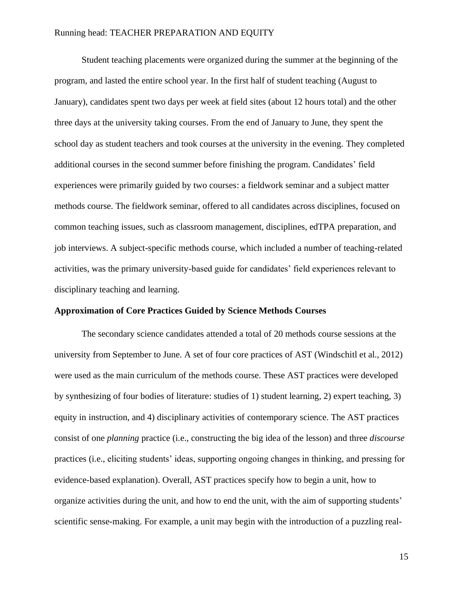Student teaching placements were organized during the summer at the beginning of the program, and lasted the entire school year. In the first half of student teaching (August to January), candidates spent two days per week at field sites (about 12 hours total) and the other three days at the university taking courses. From the end of January to June, they spent the school day as student teachers and took courses at the university in the evening. They completed additional courses in the second summer before finishing the program. Candidates' field experiences were primarily guided by two courses: a fieldwork seminar and a subject matter methods course. The fieldwork seminar, offered to all candidates across disciplines, focused on common teaching issues, such as classroom management, disciplines, edTPA preparation, and job interviews. A subject-specific methods course, which included a number of teaching-related activities, was the primary university-based guide for candidates' field experiences relevant to disciplinary teaching and learning.

### **Approximation of Core Practices Guided by Science Methods Courses**

The secondary science candidates attended a total of 20 methods course sessions at the university from September to June. A set of four core practices of AST [\(Windschitl et al., 2012\)](#page-57-2) were used as the main curriculum of the methods course. These AST practices were developed by synthesizing of four bodies of literature: studies of 1) student learning, 2) expert teaching, 3) equity in instruction, and 4) disciplinary activities of contemporary science. The AST practices consist of one *planning* practice (i.e., constructing the big idea of the lesson) and three *discourse* practices (i.e., eliciting students' ideas, supporting ongoing changes in thinking, and pressing for evidence-based explanation). Overall, AST practices specify how to begin a unit, how to organize activities during the unit, and how to end the unit, with the aim of supporting students' scientific sense-making. For example, a unit may begin with the introduction of a puzzling real-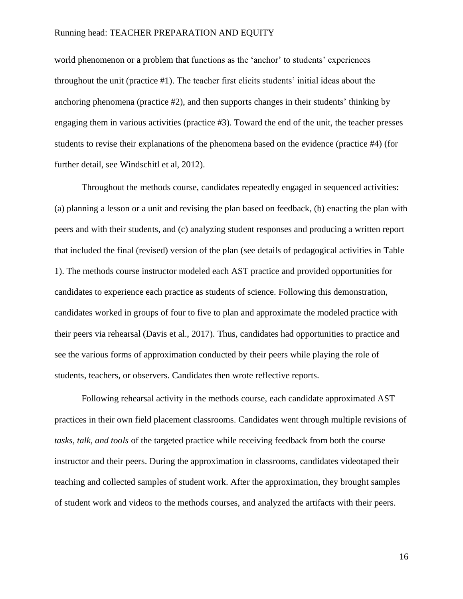world phenomenon or a problem that functions as the 'anchor' to students' experiences throughout the unit (practice #1). The teacher first elicits students' initial ideas about the anchoring phenomena (practice #2), and then supports changes in their students' thinking by engaging them in various activities (practice #3). Toward the end of the unit, the teacher presses students to revise their explanations of the phenomena based on the evidence (practice #4) (for further detail, see Windschitl et al, 2012).

Throughout the methods course, candidates repeatedly engaged in sequenced activities: (a) planning a lesson or a unit and revising the plan based on feedback, (b) enacting the plan with peers and with their students, and (c) analyzing student responses and producing a written report that included the final (revised) version of the plan (see details of pedagogical activities in Table 1). The methods course instructor modeled each AST practice and provided opportunities for candidates to experience each practice as students of science. Following this demonstration, candidates worked in groups of four to five to plan and approximate the modeled practice with their peers via rehearsal (Davis et al., 2017). Thus, candidates had opportunities to practice and see the various forms of approximation conducted by their peers while playing the role of students, teachers, or observers. Candidates then wrote reflective reports.

Following rehearsal activity in the methods course, each candidate approximated AST practices in their own field placement classrooms. Candidates went through multiple revisions of *tasks, talk, and tools* of the targeted practice while receiving feedback from both the course instructor and their peers. During the approximation in classrooms, candidates videotaped their teaching and collected samples of student work. After the approximation, they brought samples of student work and videos to the methods courses, and analyzed the artifacts with their peers.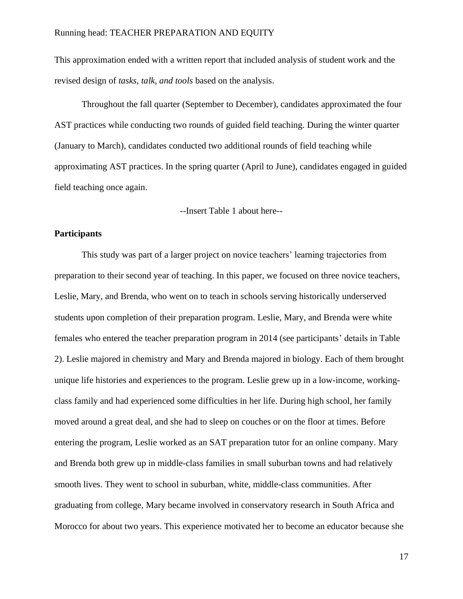This approximation ended with a written report that included analysis of student work and the revised design of *tasks, talk, and tools* based on the analysis.

Throughout the fall quarter (September to December), candidates approximated the four AST practices while conducting two rounds of guided field teaching. During the winter quarter (January to March), candidates conducted two additional rounds of field teaching while approximating AST practices. In the spring quarter (April to June), candidates engaged in guided field teaching once again.

--Insert Table 1 about here--

### **Participants**

This study was part of a larger project on novice teachers' learning trajectories from preparation to their second year of teaching. In this paper, we focused on three novice teachers, Leslie, Mary, and Brenda, who went on to teach in schools serving historically underserved students upon completion of their preparation program. Leslie, Mary, and Brenda were white females who entered the teacher preparation program in 2014 (see participants' details in Table 2). Leslie majored in chemistry and Mary and Brenda majored in biology. Each of them brought unique life histories and experiences to the program. Leslie grew up in a low-income, workingclass family and had experienced some difficulties in her life. During high school, her family moved around a great deal, and she had to sleep on couches or on the floor at times. Before entering the program, Leslie worked as an SAT preparation tutor for an online company. Mary and Brenda both grew up in middle-class families in small suburban towns and had relatively smooth lives. They went to school in suburban, white, middle-class communities. After graduating from college, Mary became involved in conservatory research in South Africa and Morocco for about two years. This experience motivated her to become an educator because she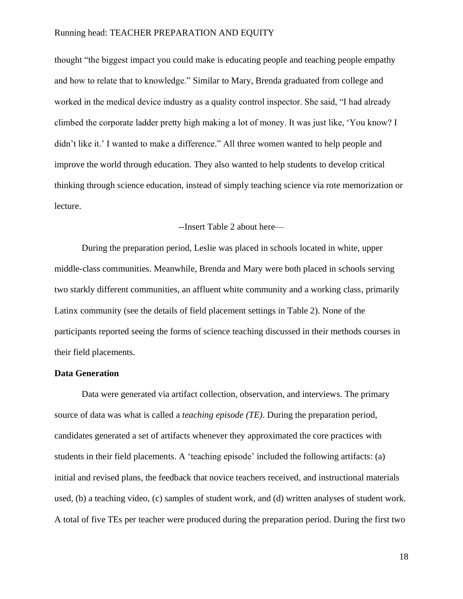thought "the biggest impact you could make is educating people and teaching people empathy and how to relate that to knowledge." Similar to Mary, Brenda graduated from college and worked in the medical device industry as a quality control inspector. She said, "I had already climbed the corporate ladder pretty high making a lot of money. It was just like, 'You know? I didn't like it.' I wanted to make a difference." All three women wanted to help people and improve the world through education. They also wanted to help students to develop critical thinking through science education, instead of simply teaching science via rote memorization or lecture.

### --Insert Table 2 about here—

During the preparation period, Leslie was placed in schools located in white, upper middle-class communities. Meanwhile, Brenda and Mary were both placed in schools serving two starkly different communities, an affluent white community and a working class, primarily Latinx community (see the details of field placement settings in Table 2). None of the participants reported seeing the forms of science teaching discussed in their methods courses in their field placements.

### **Data Generation**

Data were generated via artifact collection, observation, and interviews. The primary source of data was what is called a *teaching episode (TE)*. During the preparation period, candidates generated a set of artifacts whenever they approximated the core practices with students in their field placements. A 'teaching episode' included the following artifacts: (a) initial and revised plans, the feedback that novice teachers received, and instructional materials used, (b) a teaching video, (c) samples of student work, and (d) written analyses of student work. A total of five TEs per teacher were produced during the preparation period. During the first two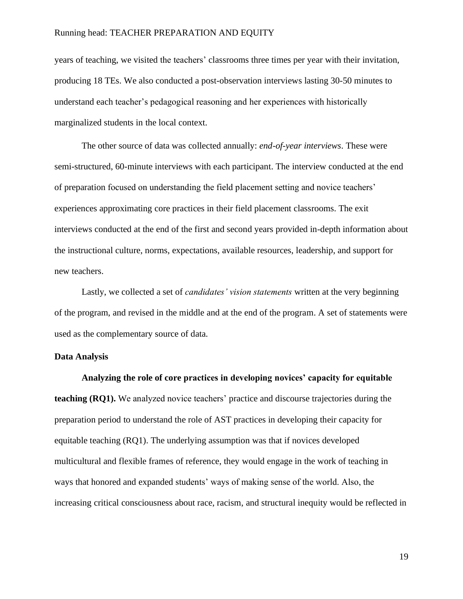years of teaching, we visited the teachers' classrooms three times per year with their invitation, producing 18 TEs. We also conducted a post-observation interviews lasting 30-50 minutes to understand each teacher's pedagogical reasoning and her experiences with historically marginalized students in the local context.

The other source of data was collected annually: *end-of-year interviews*. These were semi-structured, 60-minute interviews with each participant. The interview conducted at the end of preparation focused on understanding the field placement setting and novice teachers' experiences approximating core practices in their field placement classrooms. The exit interviews conducted at the end of the first and second years provided in-depth information about the instructional culture, norms, expectations, available resources, leadership, and support for new teachers.

Lastly, we collected a set of *candidates' vision statements* written at the very beginning of the program, and revised in the middle and at the end of the program. A set of statements were used as the complementary source of data.

### **Data Analysis**

**Analyzing the role of core practices in developing novices' capacity for equitable teaching (RQ1).** We analyzed novice teachers' practice and discourse trajectories during the preparation period to understand the role of AST practices in developing their capacity for equitable teaching (RQ1). The underlying assumption was that if novices developed multicultural and flexible frames of reference, they would engage in the work of teaching in ways that honored and expanded students' ways of making sense of the world. Also, the increasing critical consciousness about race, racism, and structural inequity would be reflected in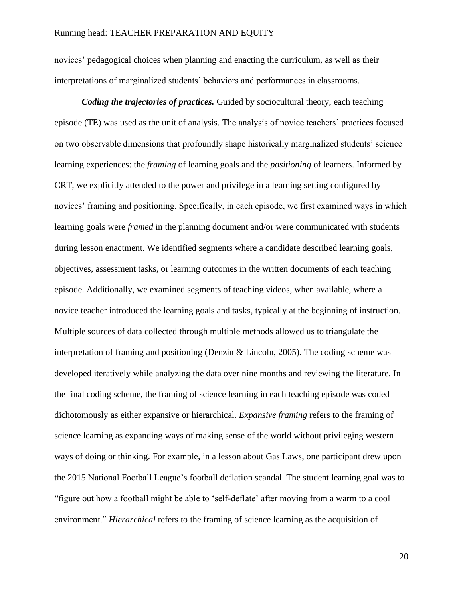novices' pedagogical choices when planning and enacting the curriculum, as well as their interpretations of marginalized students' behaviors and performances in classrooms.

*Coding the trajectories of practices.* Guided by sociocultural theory, each teaching episode (TE) was used as the unit of analysis. The analysis of novice teachers' practices focused on two observable dimensions that profoundly shape historically marginalized students' science learning experiences: the *framing* of learning goals and the *positioning* of learners. Informed by CRT, we explicitly attended to the power and privilege in a learning setting configured by novices' framing and positioning. Specifically, in each episode, we first examined ways in which learning goals were *framed* in the planning document and/or were communicated with students during lesson enactment. We identified segments where a candidate described learning goals, objectives, assessment tasks, or learning outcomes in the written documents of each teaching episode. Additionally, we examined segments of teaching videos, when available, where a novice teacher introduced the learning goals and tasks, typically at the beginning of instruction. Multiple sources of data collected through multiple methods allowed us to triangulate the interpretation of framing and positioning (Denzin & Lincoln, 2005). The coding scheme was developed iteratively while analyzing the data over nine months and reviewing the literature. In the final coding scheme, the framing of science learning in each teaching episode was coded dichotomously as either expansive or hierarchical. *Expansive framing* refers to the framing of science learning as expanding ways of making sense of the world without privileging western ways of doing or thinking. For example, in a lesson about Gas Laws, one participant drew upon the 2015 National Football League's football deflation scandal. The student learning goal was to "figure out how a football might be able to 'self-deflate' after moving from a warm to a cool environment." *Hierarchical* refers to the framing of science learning as the acquisition of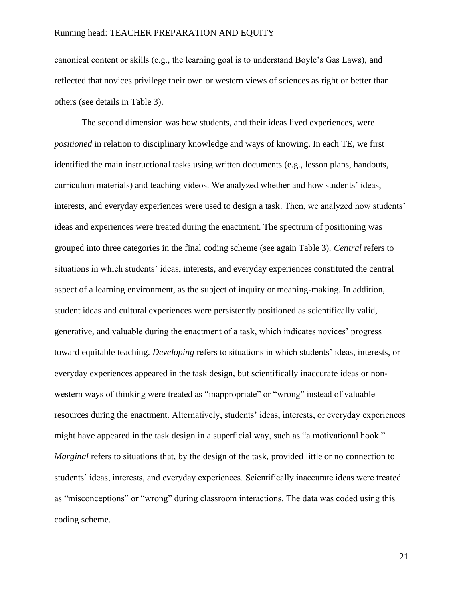canonical content or skills (e.g., the learning goal is to understand Boyle's Gas Laws), and reflected that novices privilege their own or western views of sciences as right or better than others (see details in Table 3).

The second dimension was how students, and their ideas lived experiences, were *positioned* in relation to disciplinary knowledge and ways of knowing. In each TE, we first identified the main instructional tasks using written documents (e.g., lesson plans, handouts, curriculum materials) and teaching videos. We analyzed whether and how students' ideas, interests, and everyday experiences were used to design a task. Then, we analyzed how students' ideas and experiences were treated during the enactment. The spectrum of positioning was grouped into three categories in the final coding scheme (see again Table 3). *Central* refers to situations in which students' ideas, interests, and everyday experiences constituted the central aspect of a learning environment, as the subject of inquiry or meaning-making. In addition, student ideas and cultural experiences were persistently positioned as scientifically valid, generative, and valuable during the enactment of a task, which indicates novices' progress toward equitable teaching. *Developing* refers to situations in which students' ideas, interests, or everyday experiences appeared in the task design, but scientifically inaccurate ideas or nonwestern ways of thinking were treated as "inappropriate" or "wrong" instead of valuable resources during the enactment. Alternatively, students' ideas, interests, or everyday experiences might have appeared in the task design in a superficial way, such as "a motivational hook." *Marginal* refers to situations that, by the design of the task, provided little or no connection to students' ideas, interests, and everyday experiences. Scientifically inaccurate ideas were treated as "misconceptions" or "wrong" during classroom interactions. The data was coded using this coding scheme.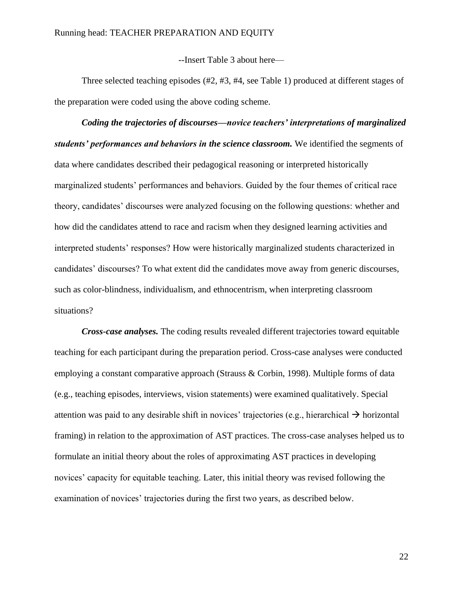--Insert Table 3 about here—

Three selected teaching episodes (#2, #3, #4, see Table 1) produced at different stages of the preparation were coded using the above coding scheme.

*Coding the trajectories of discourses—novice teachers' interpretations of marginalized students' performances and behaviors in the science classroom.* We identified the segments of data where candidates described their pedagogical reasoning or interpreted historically marginalized students' performances and behaviors. Guided by the four themes of critical race theory, candidates' discourses were analyzed focusing on the following questions: whether and how did the candidates attend to race and racism when they designed learning activities and interpreted students' responses? How were historically marginalized students characterized in candidates' discourses? To what extent did the candidates move away from generic discourses, such as color-blindness, individualism, and ethnocentrism, when interpreting classroom situations?

*Cross-case analyses.* The coding results revealed different trajectories toward equitable teaching for each participant during the preparation period. Cross-case analyses were conducted employing a constant comparative approach (Strauss & Corbin, 1998). Multiple forms of data (e.g., teaching episodes, interviews, vision statements) were examined qualitatively. Special attention was paid to any desirable shift in novices' trajectories (e.g., hierarchical  $\rightarrow$  horizontal framing) in relation to the approximation of AST practices. The cross-case analyses helped us to formulate an initial theory about the roles of approximating AST practices in developing novices' capacity for equitable teaching. Later, this initial theory was revised following the examination of novices' trajectories during the first two years, as described below.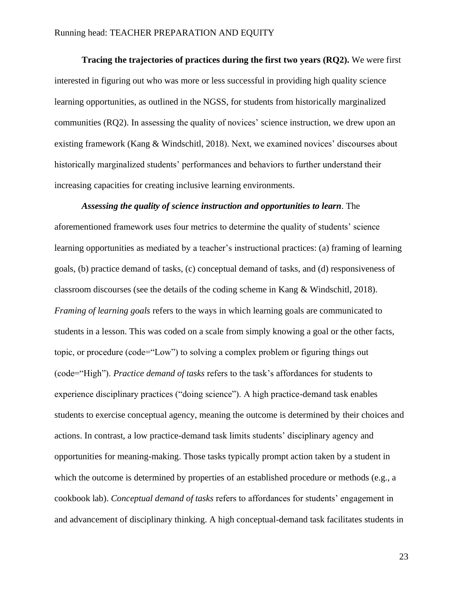**Tracing the trajectories of practices during the first two years (RQ2).** We were first interested in figuring out who was more or less successful in providing high quality science learning opportunities, as outlined in the NGSS, for students from historically marginalized communities (RQ2). In assessing the quality of novices' science instruction, we drew upon an existing framework (Kang & Windschitl, 2018). Next, we examined novices' discourses about historically marginalized students' performances and behaviors to further understand their increasing capacities for creating inclusive learning environments.

*Assessing the quality of science instruction and opportunities to learn*. The aforementioned framework uses four metrics to determine the quality of students' science learning opportunities as mediated by a teacher's instructional practices: (a) framing of learning goals, (b) practice demand of tasks, (c) conceptual demand of tasks, and (d) responsiveness of classroom discourses (see the details of the coding scheme in Kang & Windschitl, 2018). *Framing of learning goals* refers to the ways in which learning goals are communicated to students in a lesson. This was coded on a scale from simply knowing a goal or the other facts, topic, or procedure (code="Low") to solving a complex problem or figuring things out (code="High"). *Practice demand of tasks* refers to the task's affordances for students to experience disciplinary practices ("doing science"). A high practice-demand task enables students to exercise conceptual agency, meaning the outcome is determined by their choices and actions. In contrast, a low practice-demand task limits students' disciplinary agency and opportunities for meaning-making. Those tasks typically prompt action taken by a student in which the outcome is determined by properties of an established procedure or methods (e.g., a cookbook lab). *Conceptual demand of tasks* refers to affordances for students' engagement in and advancement of disciplinary thinking. A high conceptual-demand task facilitates students in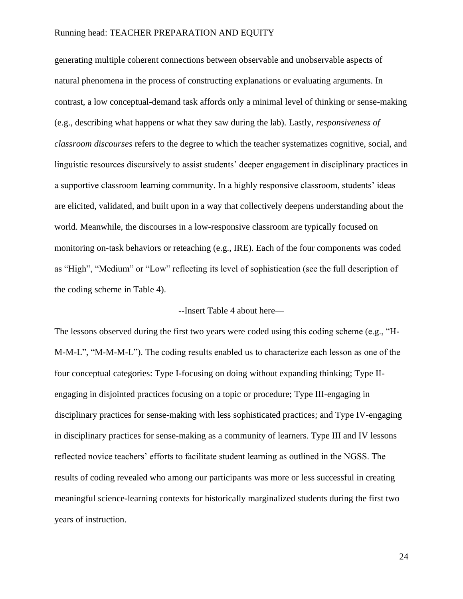generating multiple coherent connections between observable and unobservable aspects of natural phenomena in the process of constructing explanations or evaluating arguments. In contrast, a low conceptual-demand task affords only a minimal level of thinking or sense-making (e.g., describing what happens or what they saw during the lab). Lastly, *responsiveness of classroom discourses* refers to the degree to which the teacher systematizes cognitive, social, and linguistic resources discursively to assist students' deeper engagement in disciplinary practices in a supportive classroom learning community. In a highly responsive classroom, students' ideas are elicited, validated, and built upon in a way that collectively deepens understanding about the world. Meanwhile, the discourses in a low-responsive classroom are typically focused on monitoring on-task behaviors or reteaching (e.g., IRE). Each of the four components was coded as "High", "Medium" or "Low" reflecting its level of sophistication (see the full description of the coding scheme in Table 4).

### --Insert Table 4 about here—

The lessons observed during the first two years were coded using this coding scheme (e.g., "H-M-M-L", "M-M-M-L"). The coding results enabled us to characterize each lesson as one of the four conceptual categories: Type I-focusing on doing without expanding thinking; Type IIengaging in disjointed practices focusing on a topic or procedure; Type III-engaging in disciplinary practices for sense-making with less sophisticated practices; and Type IV-engaging in disciplinary practices for sense-making as a community of learners. Type III and IV lessons reflected novice teachers' efforts to facilitate student learning as outlined in the NGSS. The results of coding revealed who among our participants was more or less successful in creating meaningful science-learning contexts for historically marginalized students during the first two years of instruction.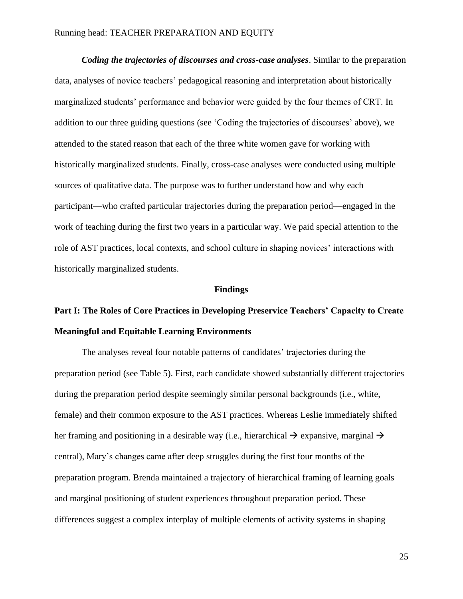*Coding the trajectories of discourses and cross-case analyses*. Similar to the preparation data, analyses of novice teachers' pedagogical reasoning and interpretation about historically marginalized students' performance and behavior were guided by the four themes of CRT. In addition to our three guiding questions (see 'Coding the trajectories of discourses' above), we attended to the stated reason that each of the three white women gave for working with historically marginalized students. Finally, cross-case analyses were conducted using multiple sources of qualitative data. The purpose was to further understand how and why each participant—who crafted particular trajectories during the preparation period—engaged in the work of teaching during the first two years in a particular way. We paid special attention to the role of AST practices, local contexts, and school culture in shaping novices' interactions with historically marginalized students.

### **Findings**

## **Part I: The Roles of Core Practices in Developing Preservice Teachers' Capacity to Create Meaningful and Equitable Learning Environments**

The analyses reveal four notable patterns of candidates' trajectories during the preparation period (see Table 5). First, each candidate showed substantially different trajectories during the preparation period despite seemingly similar personal backgrounds (i.e., white, female) and their common exposure to the AST practices. Whereas Leslie immediately shifted her framing and positioning in a desirable way (i.e., hierarchical  $\rightarrow$  expansive, marginal  $\rightarrow$ central), Mary's changes came after deep struggles during the first four months of the preparation program. Brenda maintained a trajectory of hierarchical framing of learning goals and marginal positioning of student experiences throughout preparation period. These differences suggest a complex interplay of multiple elements of activity systems in shaping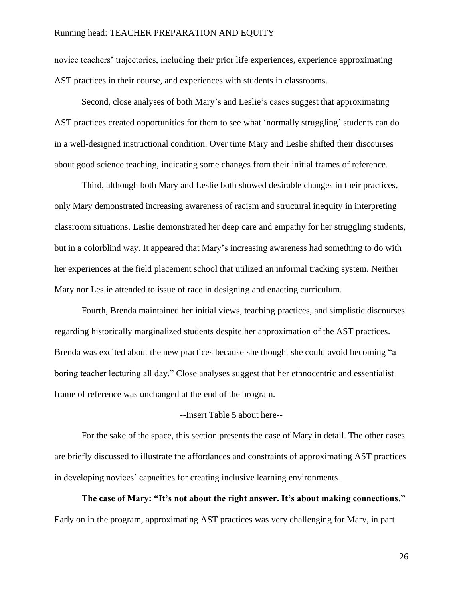novice teachers' trajectories, including their prior life experiences, experience approximating AST practices in their course, and experiences with students in classrooms.

Second, close analyses of both Mary's and Leslie's cases suggest that approximating AST practices created opportunities for them to see what 'normally struggling' students can do in a well-designed instructional condition. Over time Mary and Leslie shifted their discourses about good science teaching, indicating some changes from their initial frames of reference.

Third, although both Mary and Leslie both showed desirable changes in their practices, only Mary demonstrated increasing awareness of racism and structural inequity in interpreting classroom situations. Leslie demonstrated her deep care and empathy for her struggling students, but in a colorblind way. It appeared that Mary's increasing awareness had something to do with her experiences at the field placement school that utilized an informal tracking system. Neither Mary nor Leslie attended to issue of race in designing and enacting curriculum.

Fourth, Brenda maintained her initial views, teaching practices, and simplistic discourses regarding historically marginalized students despite her approximation of the AST practices. Brenda was excited about the new practices because she thought she could avoid becoming "a boring teacher lecturing all day." Close analyses suggest that her ethnocentric and essentialist frame of reference was unchanged at the end of the program.

### --Insert Table 5 about here--

For the sake of the space, this section presents the case of Mary in detail. The other cases are briefly discussed to illustrate the affordances and constraints of approximating AST practices in developing novices' capacities for creating inclusive learning environments.

**The case of Mary: "It's not about the right answer. It's about making connections."** Early on in the program, approximating AST practices was very challenging for Mary, in part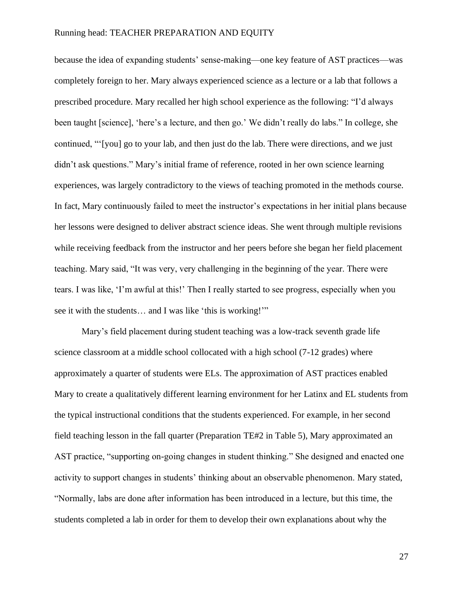because the idea of expanding students' sense-making—one key feature of AST practices—was completely foreign to her. Mary always experienced science as a lecture or a lab that follows a prescribed procedure. Mary recalled her high school experience as the following: "I'd always been taught [science], 'here's a lecture, and then go.' We didn't really do labs." In college, she continued, "'[you] go to your lab, and then just do the lab. There were directions, and we just didn't ask questions." Mary's initial frame of reference, rooted in her own science learning experiences, was largely contradictory to the views of teaching promoted in the methods course. In fact, Mary continuously failed to meet the instructor's expectations in her initial plans because her lessons were designed to deliver abstract science ideas. She went through multiple revisions while receiving feedback from the instructor and her peers before she began her field placement teaching. Mary said, "It was very, very challenging in the beginning of the year. There were tears. I was like, 'I'm awful at this!' Then I really started to see progress, especially when you see it with the students… and I was like 'this is working!'"

Mary's field placement during student teaching was a low-track seventh grade life science classroom at a middle school collocated with a high school (7-12 grades) where approximately a quarter of students were ELs. The approximation of AST practices enabled Mary to create a qualitatively different learning environment for her Latinx and EL students from the typical instructional conditions that the students experienced. For example, in her second field teaching lesson in the fall quarter (Preparation TE#2 in Table 5), Mary approximated an AST practice, "supporting on-going changes in student thinking." She designed and enacted one activity to support changes in students' thinking about an observable phenomenon. Mary stated, "Normally, labs are done after information has been introduced in a lecture, but this time, the students completed a lab in order for them to develop their own explanations about why the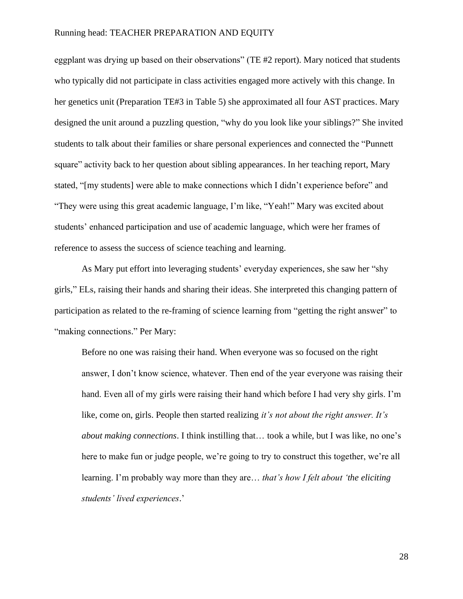eggplant was drying up based on their observations" (TE #2 report). Mary noticed that students who typically did not participate in class activities engaged more actively with this change. In her genetics unit (Preparation TE#3 in Table 5) she approximated all four AST practices. Mary designed the unit around a puzzling question, "why do you look like your siblings?" She invited students to talk about their families or share personal experiences and connected the "Punnett square" activity back to her question about sibling appearances. In her teaching report, Mary stated, "[my students] were able to make connections which I didn't experience before" and "They were using this great academic language, I'm like, "Yeah!" Mary was excited about students' enhanced participation and use of academic language, which were her frames of reference to assess the success of science teaching and learning.

As Mary put effort into leveraging students' everyday experiences, she saw her "shy girls," ELs, raising their hands and sharing their ideas. She interpreted this changing pattern of participation as related to the re-framing of science learning from "getting the right answer" to "making connections." Per Mary:

Before no one was raising their hand. When everyone was so focused on the right answer, I don't know science, whatever. Then end of the year everyone was raising their hand. Even all of my girls were raising their hand which before I had very shy girls. I'm like, come on, girls. People then started realizing *it's not about the right answer. It's about making connections*. I think instilling that… took a while, but I was like, no one's here to make fun or judge people, we're going to try to construct this together, we're all learning. I'm probably way more than they are… *that's how I felt about 'the eliciting students' lived experiences*.'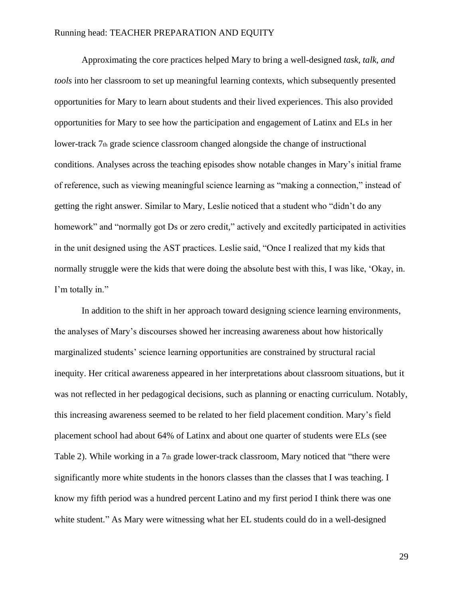Approximating the core practices helped Mary to bring a well-designed *task, talk, and tools* into her classroom to set up meaningful learning contexts, which subsequently presented opportunities for Mary to learn about students and their lived experiences. This also provided opportunities for Mary to see how the participation and engagement of Latinx and ELs in her lower-track  $7<sub>th</sub>$  grade science classroom changed alongside the change of instructional conditions. Analyses across the teaching episodes show notable changes in Mary's initial frame of reference, such as viewing meaningful science learning as "making a connection," instead of getting the right answer. Similar to Mary, Leslie noticed that a student who "didn't do any homework" and "normally got Ds or zero credit," actively and excitedly participated in activities in the unit designed using the AST practices. Leslie said, "Once I realized that my kids that normally struggle were the kids that were doing the absolute best with this, I was like, 'Okay, in. I'm totally in."

In addition to the shift in her approach toward designing science learning environments, the analyses of Mary's discourses showed her increasing awareness about how historically marginalized students' science learning opportunities are constrained by structural racial inequity. Her critical awareness appeared in her interpretations about classroom situations, but it was not reflected in her pedagogical decisions, such as planning or enacting curriculum. Notably, this increasing awareness seemed to be related to her field placement condition. Mary's field placement school had about 64% of Latinx and about one quarter of students were ELs (see Table 2). While working in a 7th grade lower-track classroom, Mary noticed that "there were significantly more white students in the honors classes than the classes that I was teaching. I know my fifth period was a hundred percent Latino and my first period I think there was one white student." As Mary were witnessing what her EL students could do in a well-designed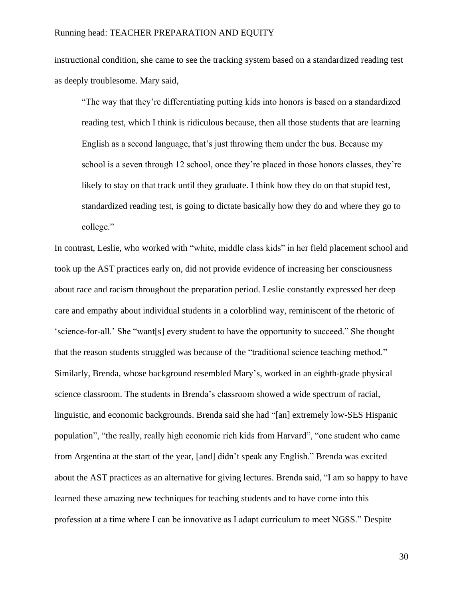instructional condition, she came to see the tracking system based on a standardized reading test as deeply troublesome. Mary said,

"The way that they're differentiating putting kids into honors is based on a standardized reading test, which I think is ridiculous because, then all those students that are learning English as a second language, that's just throwing them under the bus. Because my school is a seven through 12 school, once they're placed in those honors classes, they're likely to stay on that track until they graduate. I think how they do on that stupid test, standardized reading test, is going to dictate basically how they do and where they go to college."

In contrast, Leslie, who worked with "white, middle class kids" in her field placement school and took up the AST practices early on, did not provide evidence of increasing her consciousness about race and racism throughout the preparation period. Leslie constantly expressed her deep care and empathy about individual students in a colorblind way, reminiscent of the rhetoric of 'science-for-all.' She "want[s] every student to have the opportunity to succeed." She thought that the reason students struggled was because of the "traditional science teaching method." Similarly, Brenda, whose background resembled Mary's, worked in an eighth-grade physical science classroom. The students in Brenda's classroom showed a wide spectrum of racial, linguistic, and economic backgrounds. Brenda said she had "[an] extremely low-SES Hispanic population", "the really, really high economic rich kids from Harvard", "one student who came from Argentina at the start of the year, [and] didn't speak any English." Brenda was excited about the AST practices as an alternative for giving lectures. Brenda said, "I am so happy to have learned these amazing new techniques for teaching students and to have come into this profession at a time where I can be innovative as I adapt curriculum to meet NGSS." Despite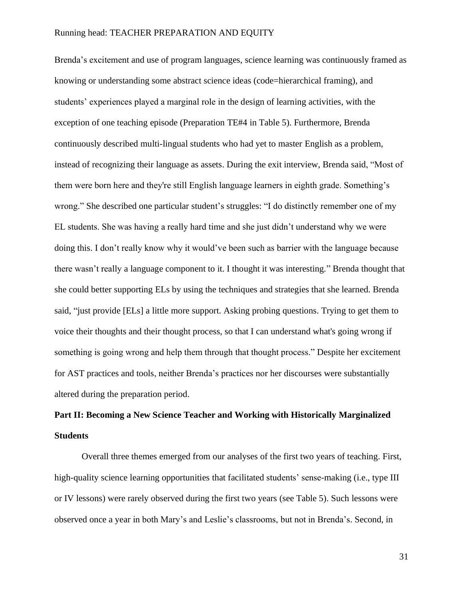Brenda's excitement and use of program languages, science learning was continuously framed as knowing or understanding some abstract science ideas (code=hierarchical framing), and students' experiences played a marginal role in the design of learning activities, with the exception of one teaching episode (Preparation TE#4 in Table 5). Furthermore, Brenda continuously described multi-lingual students who had yet to master English as a problem, instead of recognizing their language as assets. During the exit interview, Brenda said, "Most of them were born here and they're still English language learners in eighth grade. Something's wrong." She described one particular student's struggles: "I do distinctly remember one of my EL students. She was having a really hard time and she just didn't understand why we were doing this. I don't really know why it would've been such as barrier with the language because there wasn't really a language component to it. I thought it was interesting." Brenda thought that she could better supporting ELs by using the techniques and strategies that she learned. Brenda said, "just provide [ELs] a little more support. Asking probing questions. Trying to get them to voice their thoughts and their thought process, so that I can understand what's going wrong if something is going wrong and help them through that thought process." Despite her excitement for AST practices and tools, neither Brenda's practices nor her discourses were substantially altered during the preparation period.

## **Part II: Becoming a New Science Teacher and Working with Historically Marginalized Students**

Overall three themes emerged from our analyses of the first two years of teaching. First, high-quality science learning opportunities that facilitated students' sense-making (i.e., type III or IV lessons) were rarely observed during the first two years (see Table 5). Such lessons were observed once a year in both Mary's and Leslie's classrooms, but not in Brenda's. Second, in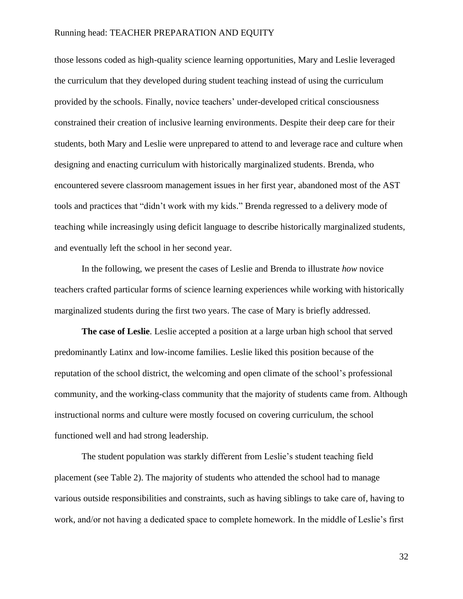those lessons coded as high-quality science learning opportunities, Mary and Leslie leveraged the curriculum that they developed during student teaching instead of using the curriculum provided by the schools. Finally, novice teachers' under-developed critical consciousness constrained their creation of inclusive learning environments. Despite their deep care for their students, both Mary and Leslie were unprepared to attend to and leverage race and culture when designing and enacting curriculum with historically marginalized students. Brenda, who encountered severe classroom management issues in her first year, abandoned most of the AST tools and practices that "didn't work with my kids." Brenda regressed to a delivery mode of teaching while increasingly using deficit language to describe historically marginalized students, and eventually left the school in her second year.

In the following, we present the cases of Leslie and Brenda to illustrate *how* novice teachers crafted particular forms of science learning experiences while working with historically marginalized students during the first two years. The case of Mary is briefly addressed.

**The case of Leslie**. Leslie accepted a position at a large urban high school that served predominantly Latinx and low-income families. Leslie liked this position because of the reputation of the school district, the welcoming and open climate of the school's professional community, and the working-class community that the majority of students came from. Although instructional norms and culture were mostly focused on covering curriculum, the school functioned well and had strong leadership.

The student population was starkly different from Leslie's student teaching field placement (see Table 2). The majority of students who attended the school had to manage various outside responsibilities and constraints, such as having siblings to take care of, having to work, and/or not having a dedicated space to complete homework. In the middle of Leslie's first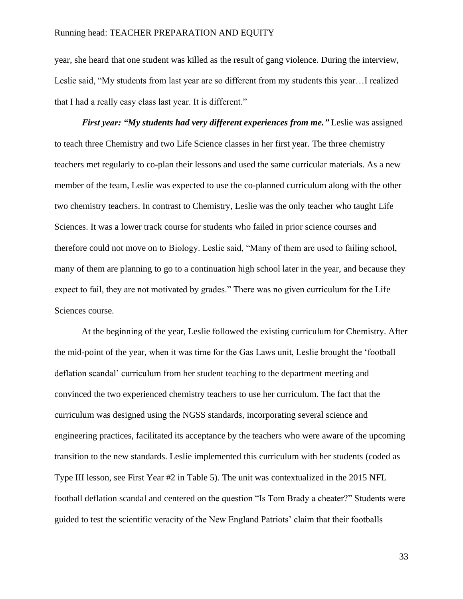year, she heard that one student was killed as the result of gang violence. During the interview, Leslie said, "My students from last year are so different from my students this year…I realized that I had a really easy class last year. It is different."

*First year: "My students had very different experiences from me."* Leslie was assigned to teach three Chemistry and two Life Science classes in her first year. The three chemistry teachers met regularly to co-plan their lessons and used the same curricular materials. As a new member of the team, Leslie was expected to use the co-planned curriculum along with the other two chemistry teachers. In contrast to Chemistry, Leslie was the only teacher who taught Life Sciences. It was a lower track course for students who failed in prior science courses and therefore could not move on to Biology. Leslie said, "Many of them are used to failing school, many of them are planning to go to a continuation high school later in the year, and because they expect to fail, they are not motivated by grades." There was no given curriculum for the Life Sciences course.

At the beginning of the year, Leslie followed the existing curriculum for Chemistry. After the mid-point of the year, when it was time for the Gas Laws unit, Leslie brought the 'football deflation scandal' curriculum from her student teaching to the department meeting and convinced the two experienced chemistry teachers to use her curriculum. The fact that the curriculum was designed using the NGSS standards, incorporating several science and engineering practices, facilitated its acceptance by the teachers who were aware of the upcoming transition to the new standards. Leslie implemented this curriculum with her students (coded as Type III lesson, see First Year #2 in Table 5). The unit was contextualized in the 2015 NFL football deflation scandal and centered on the question "Is Tom Brady a cheater?" Students were guided to test the scientific veracity of the New England Patriots' claim that their footballs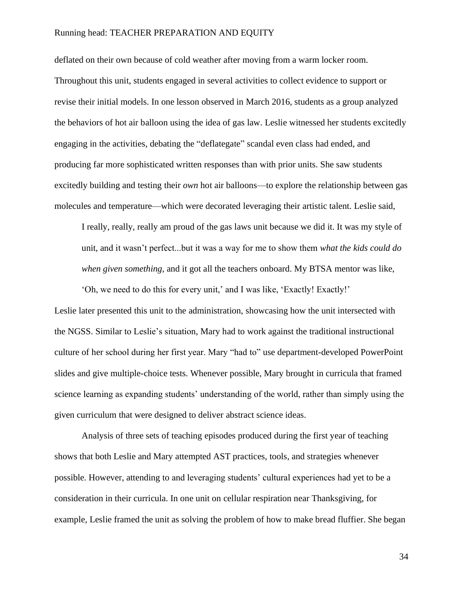deflated on their own because of cold weather after moving from a warm locker room. Throughout this unit, students engaged in several activities to collect evidence to support or revise their initial models. In one lesson observed in March 2016, students as a group analyzed the behaviors of hot air balloon using the idea of gas law. Leslie witnessed her students excitedly engaging in the activities, debating the "deflategate" scandal even class had ended, and producing far more sophisticated written responses than with prior units. She saw students excitedly building and testing their *own* hot air balloons—to explore the relationship between gas molecules and temperature—which were decorated leveraging their artistic talent. Leslie said,

I really, really, really am proud of the gas laws unit because we did it. It was my style of unit, and it wasn't perfect...but it was a way for me to show them *what the kids could do when given something*, and it got all the teachers onboard. My BTSA mentor was like,

Leslie later presented this unit to the administration, showcasing how the unit intersected with the NGSS. Similar to Leslie's situation, Mary had to work against the traditional instructional culture of her school during her first year. Mary "had to" use department-developed PowerPoint slides and give multiple-choice tests. Whenever possible, Mary brought in curricula that framed science learning as expanding students' understanding of the world, rather than simply using the given curriculum that were designed to deliver abstract science ideas.

'Oh, we need to do this for every unit,' and I was like, 'Exactly! Exactly!'

Analysis of three sets of teaching episodes produced during the first year of teaching shows that both Leslie and Mary attempted AST practices, tools, and strategies whenever possible. However, attending to and leveraging students' cultural experiences had yet to be a consideration in their curricula. In one unit on cellular respiration near Thanksgiving, for example, Leslie framed the unit as solving the problem of how to make bread fluffier. She began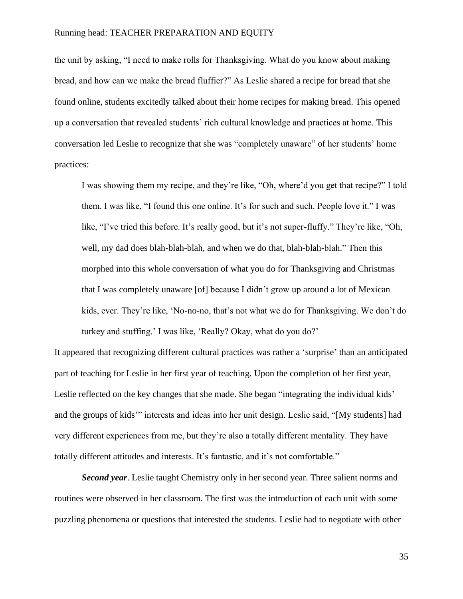the unit by asking, "I need to make rolls for Thanksgiving. What do you know about making bread, and how can we make the bread fluffier?" As Leslie shared a recipe for bread that she found online, students excitedly talked about their home recipes for making bread. This opened up a conversation that revealed students' rich cultural knowledge and practices at home. This conversation led Leslie to recognize that she was "completely unaware" of her students' home practices:

I was showing them my recipe, and they're like, "Oh, where'd you get that recipe?" I told them. I was like, "I found this one online. It's for such and such. People love it." I was like, "I've tried this before. It's really good, but it's not super-fluffy." They're like, "Oh, well, my dad does blah-blah-blah, and when we do that, blah-blah-blah." Then this morphed into this whole conversation of what you do for Thanksgiving and Christmas that I was completely unaware [of] because I didn't grow up around a lot of Mexican kids, ever. They're like, 'No-no-no, that's not what we do for Thanksgiving. We don't do turkey and stuffing.' I was like, 'Really? Okay, what do you do?'

It appeared that recognizing different cultural practices was rather a 'surprise' than an anticipated part of teaching for Leslie in her first year of teaching. Upon the completion of her first year, Leslie reflected on the key changes that she made. She began "integrating the individual kids' and the groups of kids'" interests and ideas into her unit design. Leslie said, "[My students] had very different experiences from me, but they're also a totally different mentality. They have totally different attitudes and interests. It's fantastic, and it's not comfortable."

*Second year*. Leslie taught Chemistry only in her second year. Three salient norms and routines were observed in her classroom. The first was the introduction of each unit with some puzzling phenomena or questions that interested the students. Leslie had to negotiate with other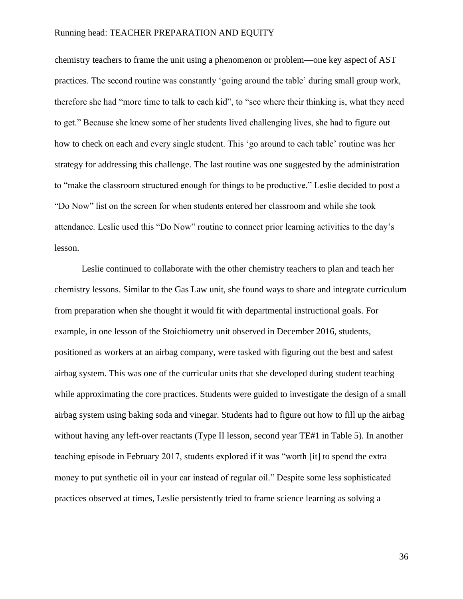chemistry teachers to frame the unit using a phenomenon or problem—one key aspect of AST practices. The second routine was constantly 'going around the table' during small group work, therefore she had "more time to talk to each kid", to "see where their thinking is, what they need to get." Because she knew some of her students lived challenging lives, she had to figure out how to check on each and every single student. This 'go around to each table' routine was her strategy for addressing this challenge. The last routine was one suggested by the administration to "make the classroom structured enough for things to be productive." Leslie decided to post a "Do Now" list on the screen for when students entered her classroom and while she took attendance. Leslie used this "Do Now" routine to connect prior learning activities to the day's lesson.

Leslie continued to collaborate with the other chemistry teachers to plan and teach her chemistry lessons. Similar to the Gas Law unit, she found ways to share and integrate curriculum from preparation when she thought it would fit with departmental instructional goals. For example, in one lesson of the Stoichiometry unit observed in December 2016, students, positioned as workers at an airbag company, were tasked with figuring out the best and safest airbag system. This was one of the curricular units that she developed during student teaching while approximating the core practices. Students were guided to investigate the design of a small airbag system using baking soda and vinegar. Students had to figure out how to fill up the airbag without having any left-over reactants (Type II lesson, second year TE#1 in Table 5). In another teaching episode in February 2017, students explored if it was "worth [it] to spend the extra money to put synthetic oil in your car instead of regular oil." Despite some less sophisticated practices observed at times, Leslie persistently tried to frame science learning as solving a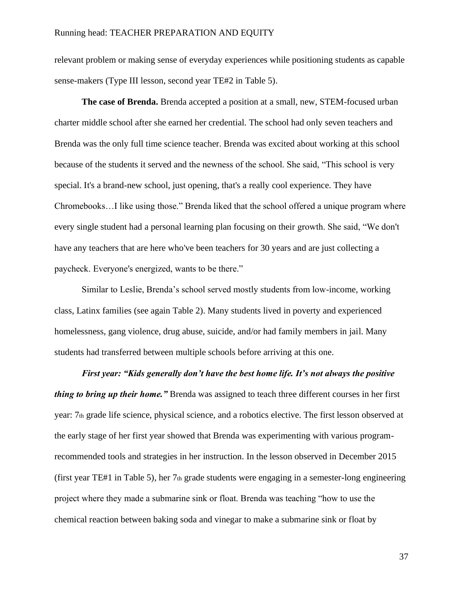relevant problem or making sense of everyday experiences while positioning students as capable sense-makers (Type III lesson, second year TE#2 in Table 5).

**The case of Brenda.** Brenda accepted a position at a small, new, STEM-focused urban charter middle school after she earned her credential. The school had only seven teachers and Brenda was the only full time science teacher. Brenda was excited about working at this school because of the students it served and the newness of the school. She said, "This school is very special. It's a brand-new school, just opening, that's a really cool experience. They have Chromebooks…I like using those." Brenda liked that the school offered a unique program where every single student had a personal learning plan focusing on their growth. She said, "We don't have any teachers that are here who've been teachers for 30 years and are just collecting a paycheck. Everyone's energized, wants to be there."

Similar to Leslie, Brenda's school served mostly students from low-income, working class, Latinx families (see again Table 2). Many students lived in poverty and experienced homelessness, gang violence, drug abuse, suicide, and/or had family members in jail. Many students had transferred between multiple schools before arriving at this one.

*First year: "Kids generally don't have the best home life. It's not always the positive thing to bring up their home."* Brenda was assigned to teach three different courses in her first year: 7th grade life science, physical science, and a robotics elective. The first lesson observed at the early stage of her first year showed that Brenda was experimenting with various programrecommended tools and strategies in her instruction. In the lesson observed in December 2015 (first year TE#1 in Table 5), her  $7<sub>th</sub>$  grade students were engaging in a semester-long engineering project where they made a submarine sink or float. Brenda was teaching "how to use the chemical reaction between baking soda and vinegar to make a submarine sink or float by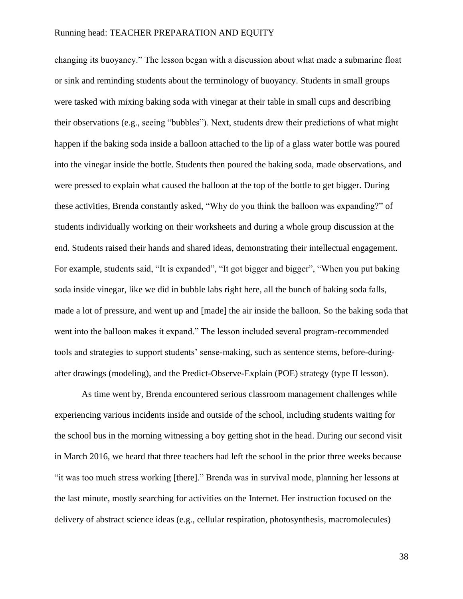changing its buoyancy." The lesson began with a discussion about what made a submarine float or sink and reminding students about the terminology of buoyancy. Students in small groups were tasked with mixing baking soda with vinegar at their table in small cups and describing their observations (e.g., seeing "bubbles"). Next, students drew their predictions of what might happen if the baking soda inside a balloon attached to the lip of a glass water bottle was poured into the vinegar inside the bottle. Students then poured the baking soda, made observations, and were pressed to explain what caused the balloon at the top of the bottle to get bigger. During these activities, Brenda constantly asked, "Why do you think the balloon was expanding?" of students individually working on their worksheets and during a whole group discussion at the end. Students raised their hands and shared ideas, demonstrating their intellectual engagement. For example, students said, "It is expanded", "It got bigger and bigger", "When you put baking soda inside vinegar, like we did in bubble labs right here, all the bunch of baking soda falls, made a lot of pressure, and went up and [made] the air inside the balloon. So the baking soda that went into the balloon makes it expand." The lesson included several program-recommended tools and strategies to support students' sense-making, such as sentence stems, before-duringafter drawings (modeling), and the Predict-Observe-Explain (POE) strategy (type II lesson).

As time went by, Brenda encountered serious classroom management challenges while experiencing various incidents inside and outside of the school, including students waiting for the school bus in the morning witnessing a boy getting shot in the head. During our second visit in March 2016, we heard that three teachers had left the school in the prior three weeks because "it was too much stress working [there]." Brenda was in survival mode, planning her lessons at the last minute, mostly searching for activities on the Internet. Her instruction focused on the delivery of abstract science ideas (e.g., cellular respiration, photosynthesis, macromolecules)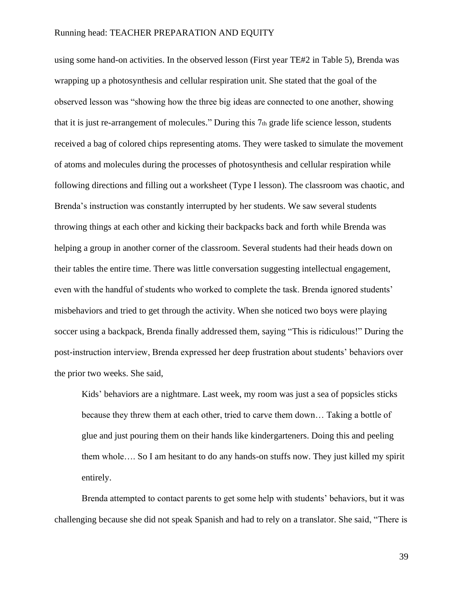using some hand-on activities. In the observed lesson (First year TE#2 in Table 5), Brenda was wrapping up a photosynthesis and cellular respiration unit. She stated that the goal of the observed lesson was "showing how the three big ideas are connected to one another, showing that it is just re-arrangement of molecules." During this 7th grade life science lesson, students received a bag of colored chips representing atoms. They were tasked to simulate the movement of atoms and molecules during the processes of photosynthesis and cellular respiration while following directions and filling out a worksheet (Type I lesson). The classroom was chaotic, and Brenda's instruction was constantly interrupted by her students. We saw several students throwing things at each other and kicking their backpacks back and forth while Brenda was helping a group in another corner of the classroom. Several students had their heads down on their tables the entire time. There was little conversation suggesting intellectual engagement, even with the handful of students who worked to complete the task. Brenda ignored students' misbehaviors and tried to get through the activity. When she noticed two boys were playing soccer using a backpack, Brenda finally addressed them, saying "This is ridiculous!" During the post-instruction interview, Brenda expressed her deep frustration about students' behaviors over the prior two weeks. She said,

Kids' behaviors are a nightmare. Last week, my room was just a sea of popsicles sticks because they threw them at each other, tried to carve them down… Taking a bottle of glue and just pouring them on their hands like kindergarteners. Doing this and peeling them whole…. So I am hesitant to do any hands-on stuffs now. They just killed my spirit entirely.

Brenda attempted to contact parents to get some help with students' behaviors, but it was challenging because she did not speak Spanish and had to rely on a translator. She said, "There is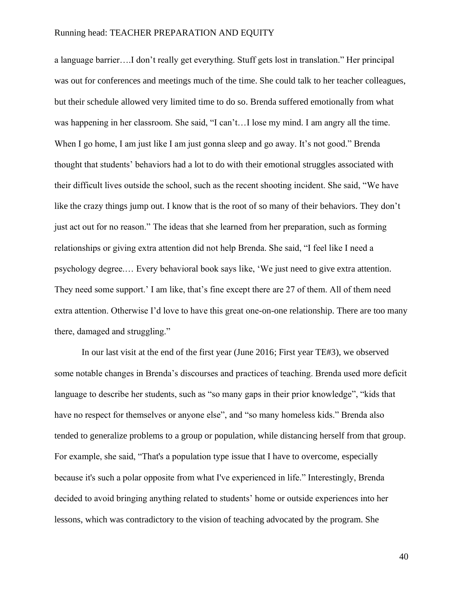a language barrier….I don't really get everything. Stuff gets lost in translation." Her principal was out for conferences and meetings much of the time. She could talk to her teacher colleagues, but their schedule allowed very limited time to do so. Brenda suffered emotionally from what was happening in her classroom. She said, "I can't...I lose my mind. I am angry all the time. When I go home, I am just like I am just gonna sleep and go away. It's not good." Brenda thought that students' behaviors had a lot to do with their emotional struggles associated with their difficult lives outside the school, such as the recent shooting incident. She said, "We have like the crazy things jump out. I know that is the root of so many of their behaviors. They don't just act out for no reason." The ideas that she learned from her preparation, such as forming relationships or giving extra attention did not help Brenda. She said, "I feel like I need a psychology degree.… Every behavioral book says like, 'We just need to give extra attention. They need some support.' I am like, that's fine except there are 27 of them. All of them need extra attention. Otherwise I'd love to have this great one-on-one relationship. There are too many there, damaged and struggling."

In our last visit at the end of the first year (June 2016; First year TE#3), we observed some notable changes in Brenda's discourses and practices of teaching. Brenda used more deficit language to describe her students, such as "so many gaps in their prior knowledge", "kids that have no respect for themselves or anyone else", and "so many homeless kids." Brenda also tended to generalize problems to a group or population, while distancing herself from that group. For example, she said, "That's a population type issue that I have to overcome, especially because it's such a polar opposite from what I've experienced in life." Interestingly, Brenda decided to avoid bringing anything related to students' home or outside experiences into her lessons, which was contradictory to the vision of teaching advocated by the program. She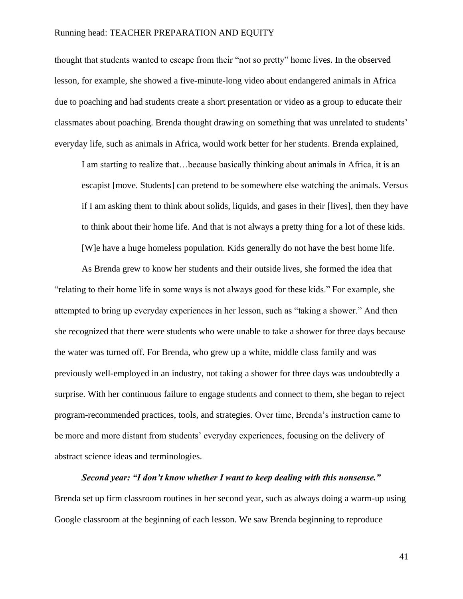thought that students wanted to escape from their "not so pretty" home lives. In the observed lesson, for example, she showed a five-minute-long video about endangered animals in Africa due to poaching and had students create a short presentation or video as a group to educate their classmates about poaching. Brenda thought drawing on something that was unrelated to students' everyday life, such as animals in Africa, would work better for her students. Brenda explained,

I am starting to realize that…because basically thinking about animals in Africa, it is an escapist [move. Students] can pretend to be somewhere else watching the animals. Versus if I am asking them to think about solids, liquids, and gases in their [lives], then they have to think about their home life. And that is not always a pretty thing for a lot of these kids. [W]e have a huge homeless population. Kids generally do not have the best home life.

As Brenda grew to know her students and their outside lives, she formed the idea that "relating to their home life in some ways is not always good for these kids." For example, she attempted to bring up everyday experiences in her lesson, such as "taking a shower." And then she recognized that there were students who were unable to take a shower for three days because the water was turned off. For Brenda, who grew up a white, middle class family and was previously well-employed in an industry, not taking a shower for three days was undoubtedly a surprise. With her continuous failure to engage students and connect to them, she began to reject program-recommended practices, tools, and strategies. Over time, Brenda's instruction came to be more and more distant from students' everyday experiences, focusing on the delivery of abstract science ideas and terminologies.

### *Second year: "I don't know whether I want to keep dealing with this nonsense."*

Brenda set up firm classroom routines in her second year, such as always doing a warm-up using Google classroom at the beginning of each lesson. We saw Brenda beginning to reproduce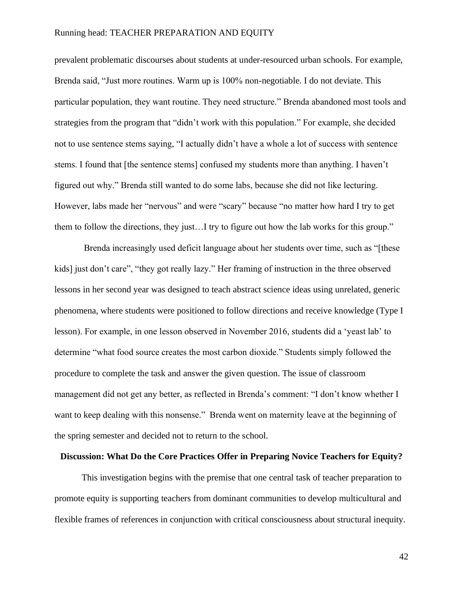prevalent problematic discourses about students at under-resourced urban schools. For example, Brenda said, "Just more routines. Warm up is 100% non-negotiable. I do not deviate. This particular population, they want routine. They need structure." Brenda abandoned most tools and strategies from the program that "didn't work with this population." For example, she decided not to use sentence stems saying, "I actually didn't have a whole a lot of success with sentence stems. I found that [the sentence stems] confused my students more than anything. I haven't figured out why." Brenda still wanted to do some labs, because she did not like lecturing. However, labs made her "nervous" and were "scary" because "no matter how hard I try to get them to follow the directions, they just…I try to figure out how the lab works for this group."

Brenda increasingly used deficit language about her students over time, such as "[these kids] just don't care", "they got really lazy." Her framing of instruction in the three observed lessons in her second year was designed to teach abstract science ideas using unrelated, generic phenomena, where students were positioned to follow directions and receive knowledge (Type I lesson). For example, in one lesson observed in November 2016, students did a 'yeast lab' to determine "what food source creates the most carbon dioxide." Students simply followed the procedure to complete the task and answer the given question. The issue of classroom management did not get any better, as reflected in Brenda's comment: "I don't know whether I want to keep dealing with this nonsense." Brenda went on maternity leave at the beginning of the spring semester and decided not to return to the school.

### **Discussion: What Do the Core Practices Offer in Preparing Novice Teachers for Equity?**

This investigation begins with the premise that one central task of teacher preparation to promote equity is supporting teachers from dominant communities to develop multicultural and flexible frames of references in conjunction with critical consciousness about structural inequity.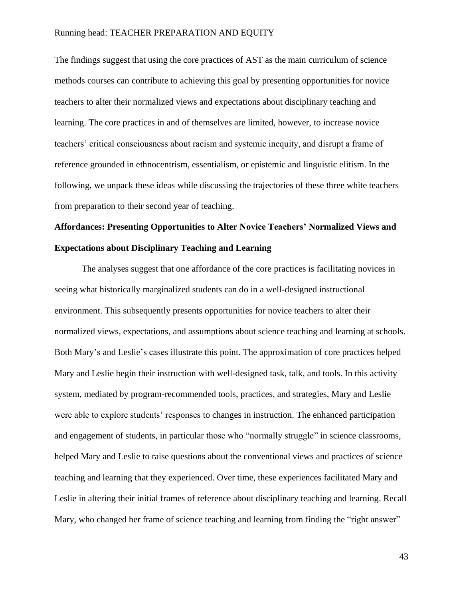The findings suggest that using the core practices of AST as the main curriculum of science methods courses can contribute to achieving this goal by presenting opportunities for novice teachers to alter their normalized views and expectations about disciplinary teaching and learning. The core practices in and of themselves are limited, however, to increase novice teachers' critical consciousness about racism and systemic inequity, and disrupt a frame of reference grounded in ethnocentrism, essentialism, or epistemic and linguistic elitism. In the following, we unpack these ideas while discussing the trajectories of these three white teachers from preparation to their second year of teaching.

# **Affordances: Presenting Opportunities to Alter Novice Teachers' Normalized Views and Expectations about Disciplinary Teaching and Learning**

The analyses suggest that one affordance of the core practices is facilitating novices in seeing what historically marginalized students can do in a well-designed instructional environment. This subsequently presents opportunities for novice teachers to alter their normalized views, expectations, and assumptions about science teaching and learning at schools. Both Mary's and Leslie's cases illustrate this point. The approximation of core practices helped Mary and Leslie begin their instruction with well-designed task, talk, and tools. In this activity system, mediated by program-recommended tools, practices, and strategies, Mary and Leslie were able to explore students' responses to changes in instruction. The enhanced participation and engagement of students, in particular those who "normally struggle" in science classrooms, helped Mary and Leslie to raise questions about the conventional views and practices of science teaching and learning that they experienced. Over time, these experiences facilitated Mary and Leslie in altering their initial frames of reference about disciplinary teaching and learning. Recall Mary, who changed her frame of science teaching and learning from finding the "right answer"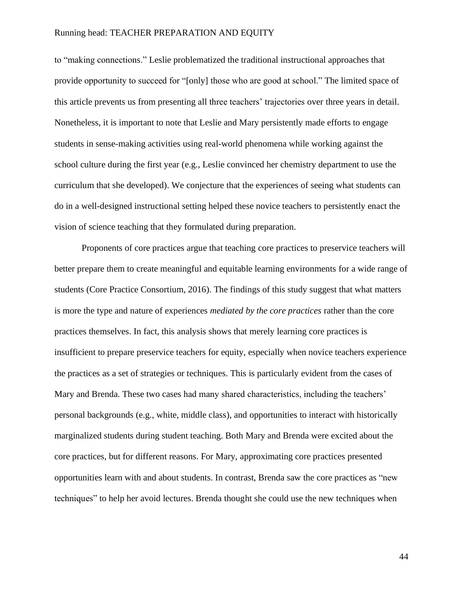to "making connections." Leslie problematized the traditional instructional approaches that provide opportunity to succeed for "[only] those who are good at school." The limited space of this article prevents us from presenting all three teachers' trajectories over three years in detail. Nonetheless, it is important to note that Leslie and Mary persistently made efforts to engage students in sense-making activities using real-world phenomena while working against the school culture during the first year (e.g., Leslie convinced her chemistry department to use the curriculum that she developed). We conjecture that the experiences of seeing what students can do in a well-designed instructional setting helped these novice teachers to persistently enact the vision of science teaching that they formulated during preparation.

Proponents of core practices argue that teaching core practices to preservice teachers will better prepare them to create meaningful and equitable learning environments for a wide range of students [\(Core Practice Consortium, 2016\)](#page-52-1). The findings of this study suggest that what matters is more the type and nature of experiences *mediated by the core practices* rather than the core practices themselves. In fact, this analysis shows that merely learning core practices is insufficient to prepare preservice teachers for equity, especially when novice teachers experience the practices as a set of strategies or techniques. This is particularly evident from the cases of Mary and Brenda. These two cases had many shared characteristics, including the teachers' personal backgrounds (e.g., white, middle class), and opportunities to interact with historically marginalized students during student teaching. Both Mary and Brenda were excited about the core practices, but for different reasons. For Mary, approximating core practices presented opportunities learn with and about students. In contrast, Brenda saw the core practices as "new techniques" to help her avoid lectures. Brenda thought she could use the new techniques when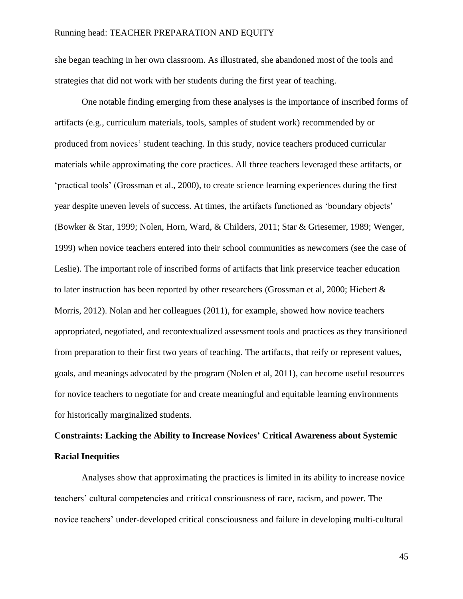she began teaching in her own classroom. As illustrated, she abandoned most of the tools and strategies that did not work with her students during the first year of teaching.

One notable finding emerging from these analyses is the importance of inscribed forms of artifacts (e.g., curriculum materials, tools, samples of student work) recommended by or produced from novices' student teaching. In this study, novice teachers produced curricular materials while approximating the core practices. All three teachers leveraged these artifacts, or 'practical tools' (Grossman et al., 2000), to create science learning experiences during the first year despite uneven levels of success. At times, the artifacts functioned as 'boundary objects' [\(Bowker & Star, 1999;](#page-51-4) [Nolen, Horn, Ward, & Childers, 2011;](#page-56-7) [Star & Griesemer, 1989;](#page-57-6) [Wenger,](#page-57-7)  [1999\)](#page-57-7) when novice teachers entered into their school communities as newcomers (see the case of Leslie). The important role of inscribed forms of artifacts that link preservice teacher education to later instruction has been reported by other researchers (Grossman et al, 2000; [Hiebert &](#page-54-5)  [Morris, 2012\)](#page-54-5). Nolan and her colleagues (2011), for example, showed how novice teachers appropriated, negotiated, and recontextualized assessment tools and practices as they transitioned from preparation to their first two years of teaching. The artifacts, that reify or represent values, goals, and meanings advocated by the program (Nolen et al, 2011), can become useful resources for novice teachers to negotiate for and create meaningful and equitable learning environments for historically marginalized students.

## **Constraints: Lacking the Ability to Increase Novices' Critical Awareness about Systemic Racial Inequities**

Analyses show that approximating the practices is limited in its ability to increase novice teachers' cultural competencies and critical consciousness of race, racism, and power. The novice teachers' under-developed critical consciousness and failure in developing multi-cultural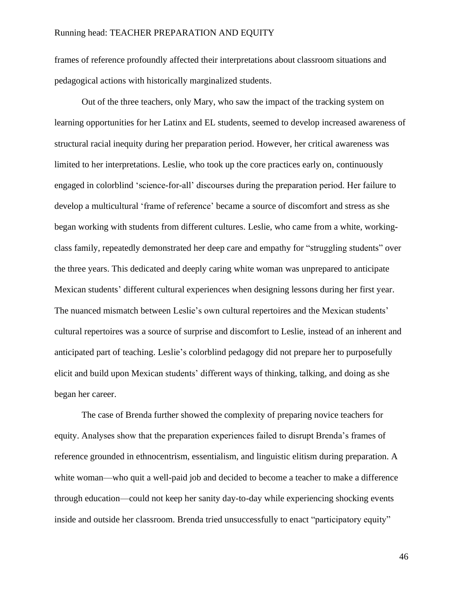frames of reference profoundly affected their interpretations about classroom situations and pedagogical actions with historically marginalized students.

Out of the three teachers, only Mary, who saw the impact of the tracking system on learning opportunities for her Latinx and EL students, seemed to develop increased awareness of structural racial inequity during her preparation period. However, her critical awareness was limited to her interpretations. Leslie, who took up the core practices early on, continuously engaged in colorblind 'science-for-all' discourses during the preparation period. Her failure to develop a multicultural 'frame of reference' became a source of discomfort and stress as she began working with students from different cultures. Leslie, who came from a white, workingclass family, repeatedly demonstrated her deep care and empathy for "struggling students" over the three years. This dedicated and deeply caring white woman was unprepared to anticipate Mexican students' different cultural experiences when designing lessons during her first year. The nuanced mismatch between Leslie's own cultural repertoires and the Mexican students' cultural repertoires was a source of surprise and discomfort to Leslie, instead of an inherent and anticipated part of teaching. Leslie's colorblind pedagogy did not prepare her to purposefully elicit and build upon Mexican students' different ways of thinking, talking, and doing as she began her career.

The case of Brenda further showed the complexity of preparing novice teachers for equity. Analyses show that the preparation experiences failed to disrupt Brenda's frames of reference grounded in ethnocentrism, essentialism, and linguistic elitism during preparation. A white woman—who quit a well-paid job and decided to become a teacher to make a difference through education—could not keep her sanity day-to-day while experiencing shocking events inside and outside her classroom. Brenda tried unsuccessfully to enact "participatory equity"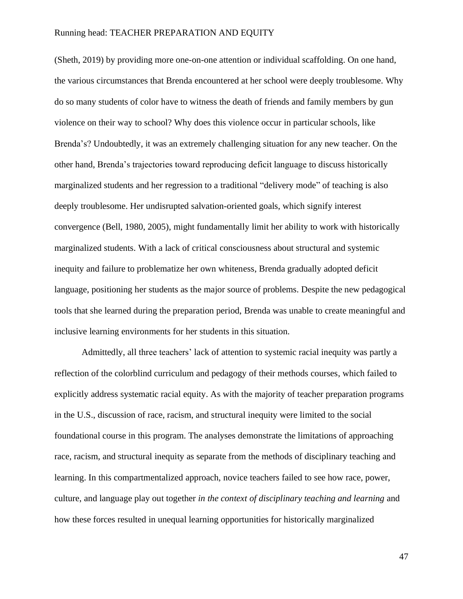(Sheth, 2019) by providing more one-on-one attention or individual scaffolding. On one hand, the various circumstances that Brenda encountered at her school were deeply troublesome. Why do so many students of color have to witness the death of friends and family members by gun violence on their way to school? Why does this violence occur in particular schools, like Brenda's? Undoubtedly, it was an extremely challenging situation for any new teacher. On the other hand, Brenda's trajectories toward reproducing deficit language to discuss historically marginalized students and her regression to a traditional "delivery mode" of teaching is also deeply troublesome. Her undisrupted salvation-oriented goals, which signify interest convergence (Bell, 1980, 2005), might fundamentally limit her ability to work with historically marginalized students. With a lack of critical consciousness about structural and systemic inequity and failure to problematize her own whiteness, Brenda gradually adopted deficit language, positioning her students as the major source of problems. Despite the new pedagogical tools that she learned during the preparation period, Brenda was unable to create meaningful and inclusive learning environments for her students in this situation.

Admittedly, all three teachers' lack of attention to systemic racial inequity was partly a reflection of the colorblind curriculum and pedagogy of their methods courses, which failed to explicitly address systematic racial equity. As with the majority of teacher preparation programs in the U.S., discussion of race, racism, and structural inequity were limited to the social foundational course in this program. The analyses demonstrate the limitations of approaching race, racism, and structural inequity as separate from the methods of disciplinary teaching and learning. In this compartmentalized approach, novice teachers failed to see how race, power, culture, and language play out together *in the context of disciplinary teaching and learning* and how these forces resulted in unequal learning opportunities for historically marginalized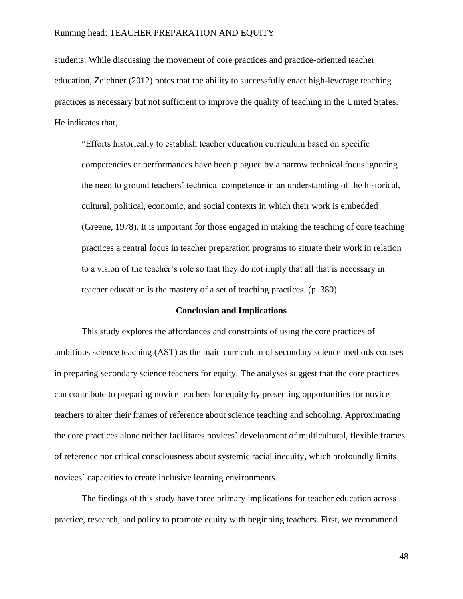students. While discussing the movement of core practices and practice-oriented teacher education, Zeichner [\(2012\)](#page-58-0) notes that the ability to successfully enact high-leverage teaching practices is necessary but not sufficient to improve the quality of teaching in the United States. He indicates that,

"Efforts historically to establish teacher education curriculum based on specific competencies or performances have been plagued by a narrow technical focus ignoring the need to ground teachers' technical competence in an understanding of the historical, cultural, political, economic, and social contexts in which their work is embedded [\(Greene, 1978\)](#page-53-3). It is important for those engaged in making the teaching of core teaching practices a central focus in teacher preparation programs to situate their work in relation to a vision of the teacher's role so that they do not imply that all that is necessary in teacher education is the mastery of a set of teaching practices. (p. 380)

### **Conclusion and Implications**

This study explores the affordances and constraints of using the core practices of ambitious science teaching (AST) as the main curriculum of secondary science methods courses in preparing secondary science teachers for equity. The analyses suggest that the core practices can contribute to preparing novice teachers for equity by presenting opportunities for novice teachers to alter their frames of reference about science teaching and schooling. Approximating the core practices alone neither facilitates novices' development of multicultural, flexible frames of reference nor critical consciousness about systemic racial inequity, which profoundly limits novices' capacities to create inclusive learning environments.

The findings of this study have three primary implications for teacher education across practice, research, and policy to promote equity with beginning teachers. First, we recommend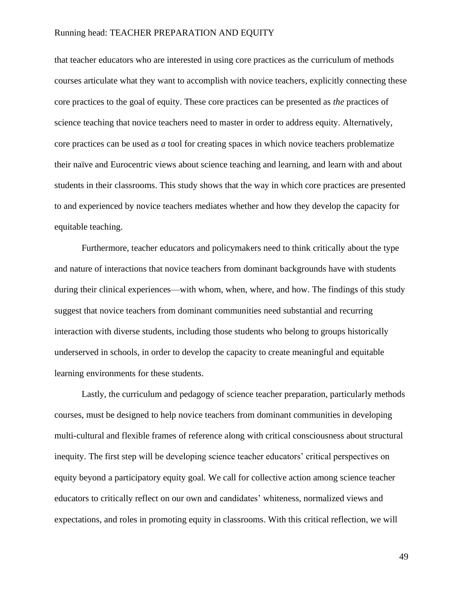that teacher educators who are interested in using core practices as the curriculum of methods courses articulate what they want to accomplish with novice teachers, explicitly connecting these core practices to the goal of equity. These core practices can be presented as *the* practices of science teaching that novice teachers need to master in order to address equity. Alternatively, core practices can be used as *a* tool for creating spaces in which novice teachers problematize their naïve and Eurocentric views about science teaching and learning, and learn with and about students in their classrooms. This study shows that the way in which core practices are presented to and experienced by novice teachers mediates whether and how they develop the capacity for equitable teaching.

Furthermore, teacher educators and policymakers need to think critically about the type and nature of interactions that novice teachers from dominant backgrounds have with students during their clinical experiences—with whom, when, where, and how. The findings of this study suggest that novice teachers from dominant communities need substantial and recurring interaction with diverse students, including those students who belong to groups historically underserved in schools, in order to develop the capacity to create meaningful and equitable learning environments for these students.

Lastly, the curriculum and pedagogy of science teacher preparation, particularly methods courses, must be designed to help novice teachers from dominant communities in developing multi-cultural and flexible frames of reference along with critical consciousness about structural inequity. The first step will be developing science teacher educators' critical perspectives on equity beyond a participatory equity goal. We call for collective action among science teacher educators to critically reflect on our own and candidates' whiteness, normalized views and expectations, and roles in promoting equity in classrooms. With this critical reflection, we will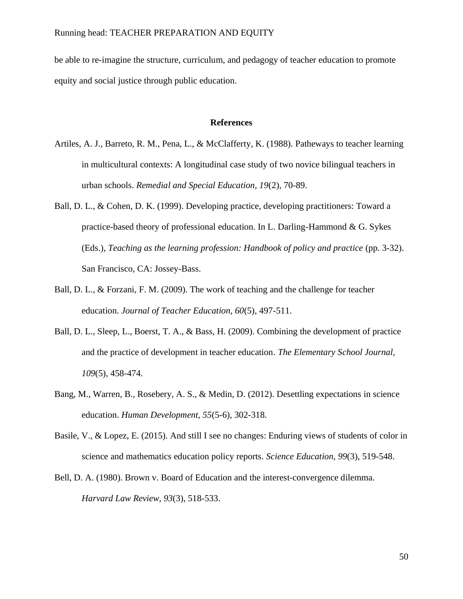be able to re-imagine the structure, curriculum, and pedagogy of teacher education to promote equity and social justice through public education.

### **References**

- <span id="page-50-4"></span>Artiles, A. J., Barreto, R. M., Pena, L., & McClafferty, K. (1988). Patheways to teacher learning in multicultural contexts: A longitudinal case study of two novice bilingual teachers in urban schools. *Remedial and Special Education, 19*(2), 70-89.
- <span id="page-50-2"></span>Ball, D. L., & Cohen, D. K. (1999). Developing practice, developing practitioners: Toward a practice-based theory of professional education. In L. Darling-Hammond & G. Sykes (Eds.), *Teaching as the learning profession: Handbook of policy and practice* (pp. 3-32). San Francisco, CA: Jossey-Bass.
- <span id="page-50-0"></span>Ball, D. L., & Forzani, F. M. (2009). The work of teaching and the challenge for teacher education. *Journal of Teacher Education, 60*(5), 497-511.
- <span id="page-50-1"></span>Ball, D. L., Sleep, L., Boerst, T. A., & Bass, H. (2009). Combining the development of practice and the practice of development in teacher education. *The Elementary School Journal, 109*(5), 458-474.
- <span id="page-50-3"></span>Bang, M., Warren, B., Rosebery, A. S., & Medin, D. (2012). Desettling expectations in science education. *Human Development, 55*(5-6), 302-318.
- Basile, V., & Lopez, E. (2015). And still I see no changes: Enduring views of students of color in science and mathematics education policy reports. *Science Education, 99*(3), 519-548.
- Bell, D. A. (1980). Brown v. Board of Education and the interest-convergence dilemma. *Harvard Law Review, 93*(3), 518-533.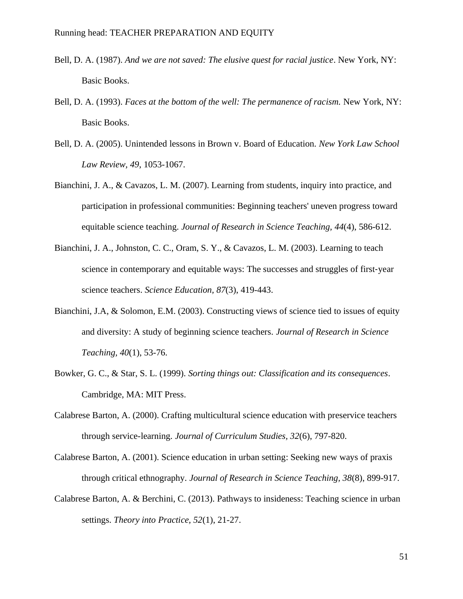- Bell, D. A. (1987). *And we are not saved: The elusive quest for racial justice*. New York, NY: Basic Books.
- Bell, D. A. (1993). *Faces at the bottom of the well: The permanence of racism.* New York, NY: Basic Books.
- Bell, D. A. (2005). Unintended lessons in Brown v. Board of Education. *New York Law School Law Review, 49*, 1053-1067.
- Bianchini, J. A., & Cavazos, L. M. (2007). Learning from students, inquiry into practice, and participation in professional communities: Beginning teachers' uneven progress toward equitable science teaching. *Journal of Research in Science Teaching, 44*(4), 586-612.
- Bianchini, J. A., Johnston, C. C., Oram, S. Y., & Cavazos, L. M. (2003). Learning to teach science in contemporary and equitable ways: The successes and struggles of first-year science teachers. *Science Education, 87*(3), 419-443.
- <span id="page-51-0"></span>Bianchini, J.A, & Solomon, E.M. (2003). Constructing views of science tied to issues of equity and diversity: A study of beginning science teachers. *Journal of Research in Science Teaching, 40*(1), 53-76.
- <span id="page-51-4"></span>Bowker, G. C., & Star, S. L. (1999). *Sorting things out: Classification and its consequences*. Cambridge, MA: MIT Press.
- <span id="page-51-2"></span>Calabrese Barton, A. (2000). Crafting multicultural science education with preservice teachers through service-learning. *Journal of Curriculum Studies, 32*(6), 797-820.
- <span id="page-51-3"></span><span id="page-51-1"></span>Calabrese Barton, A. (2001). Science education in urban setting: Seeking new ways of praxis through critical ethnography. *Journal of Research in Science Teaching, 38*(8), 899-917.
- Calabrese Barton, A. & Berchini, C. (2013). Pathways to insideness: Teaching science in urban settings. *Theory into Practice, 52*(1), 21-27.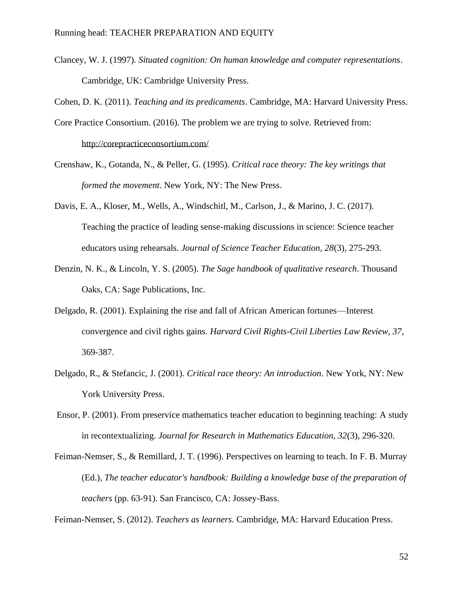Clancey, W. J. (1997). *Situated cognition: On human knowledge and computer representations*. Cambridge, UK: Cambridge University Press.

<span id="page-52-3"></span>Cohen, D. K. (2011). *Teaching and its predicaments*. Cambridge, MA: Harvard University Press.

- <span id="page-52-1"></span>Core Practice Consortium. (2016). The problem we are trying to solve. Retrieved from: <http://corepracticeconsortium.com/>
- Crenshaw, K., Gotanda, N., & Peller, G. (1995). *Critical race theory: The key writings that formed the movement*. New York, NY: The New Press.
- <span id="page-52-4"></span>Davis, E. A., Kloser, M., Wells, A., Windschitl, M., Carlson, J., & Marino, J. C. (2017). Teaching the practice of leading sense-making discussions in science: Science teacher educators using rehearsals. *Journal of Science Teacher Education, 28*(3), 275-293.
- Denzin, N. K., & Lincoln, Y. S. (2005). *The Sage handbook of qualitative research*. Thousand Oaks, CA: Sage Publications, Inc.
- Delgado, R. (2001). Explaining the rise and fall of African American fortunes—Interest convergence and civil rights gains. *Harvard Civil Rights-Civil Liberties Law Review, 37*, 369-387.
- Delgado, R., & Stefancic, J. (2001). *Critical race theory: An introduction*. New York, NY: New York University Press.
- Ensor, P. (2001). From preservice mathematics teacher education to beginning teaching: A study in recontextualizing. *Journal for Research in Mathematics Education, 32*(3), 296-320.
- <span id="page-52-2"></span>Feiman-Nemser, S., & Remillard, J. T. (1996). Perspectives on learning to teach. In F. B. Murray (Ed.), *The teacher educator's handbook: Building a knowledge base of the preparation of teachers* (pp. 63-91). San Francisco, CA: Jossey-Bass.

<span id="page-52-0"></span>Feiman-Nemser, S. (2012). *Teachers as learners.* Cambridge, MA: Harvard Education Press.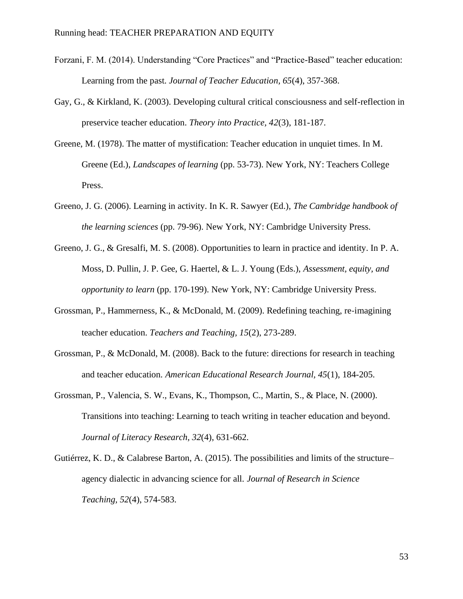- Forzani, F. M. (2014). Understanding "Core Practices" and "Practice-Based" teacher education: Learning from the past. *Journal of Teacher Education, 65*(4), 357-368.
- <span id="page-53-2"></span>Gay, G., & Kirkland, K. (2003). Developing cultural critical consciousness and self-reflection in preservice teacher education. *Theory into Practice, 42*(3), 181-187.
- <span id="page-53-3"></span>Greene, M. (1978). The matter of mystification: Teacher education in unquiet times. In M. Greene (Ed.), *Landscapes of learning* (pp. 53-73). New York, NY: Teachers College Press.
- Greeno, J. G. (2006). Learning in activity. In K. R. Sawyer (Ed.), *The Cambridge handbook of the learning sciences* (pp. 79-96). New York, NY: Cambridge University Press.
- Greeno, J. G., & Gresalfi, M. S. (2008). Opportunities to learn in practice and identity. In P. A. Moss, D. Pullin, J. P. Gee, G. Haertel, & L. J. Young (Eds.), *Assessment, equity, and opportunity to learn* (pp. 170-199). New York, NY: Cambridge University Press.
- <span id="page-53-0"></span>Grossman, P., Hammerness, K., & McDonald, M. (2009). Redefining teaching, re‐imagining teacher education. *Teachers and Teaching, 15*(2), 273-289.
- <span id="page-53-1"></span>Grossman, P., & McDonald, M. (2008). Back to the future: directions for research in teaching and teacher education. *American Educational Research Journal, 45*(1), 184-205.
- Grossman, P., Valencia, S. W., Evans, K., Thompson, C., Martin, S., & Place, N. (2000). Transitions into teaching: Learning to teach writing in teacher education and beyond. *Journal of Literacy Research, 32*(4), 631-662.
- Gutiérrez, K. D., & Calabrese Barton, A. (2015). The possibilities and limits of the structure– agency dialectic in advancing science for all. *Journal of Research in Science Teaching, 52*(4), 574-583.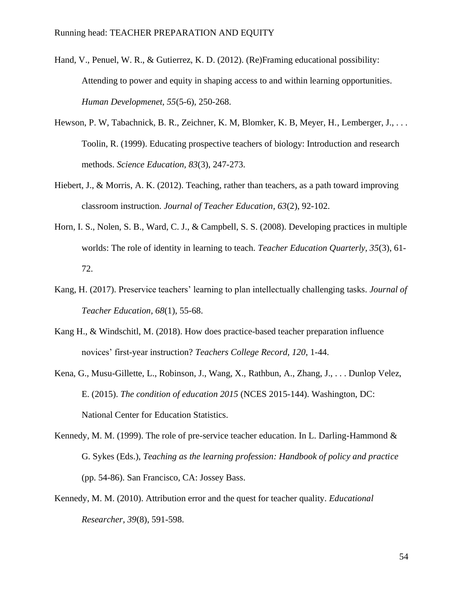- <span id="page-54-3"></span>Hand, V., Penuel, W. R., & Gutierrez, K. D. (2012). (Re)Framing educational possibility: Attending to power and equity in shaping access to and within learning opportunities. *Human Developmenet, 55*(5-6), 250-268.
- <span id="page-54-2"></span>Hewson, P. W, Tabachnick, B. R., Zeichner, K. M, Blomker, K. B, Meyer, H., Lemberger, J., . . . Toolin, R. (1999). Educating prospective teachers of biology: Introduction and research methods. *Science Education, 83*(3), 247-273.
- <span id="page-54-5"></span>Hiebert, J., & Morris, A. K. (2012). Teaching, rather than teachers, as a path toward improving classroom instruction. *Journal of Teacher Education, 63*(2), 92-102.
- <span id="page-54-1"></span>Horn, I. S., Nolen, S. B., Ward, C. J., & Campbell, S. S. (2008). Developing practices in multiple worlds: The role of identity in learning to teach. *Teacher Education Quarterly, 35*(3), 61- 72.
- <span id="page-54-0"></span>Kang, H. (2017). Preservice teachers' learning to plan intellectually challenging tasks. *Journal of Teacher Education, 68*(1), 55-68.
- Kang H., & Windschitl, M. (2018). How does practice-based teacher preparation influence novices' first-year instruction? *Teachers College Record, 120*, 1-44.
- Kena, G., Musu-Gillette, L., Robinson, J., Wang, X., Rathbun, A., Zhang, J., . . . Dunlop Velez, E. (2015). *The condition of education 2015* (NCES 2015-144). Washington, DC: National Center for Education Statistics.
- <span id="page-54-4"></span>Kennedy, M. M. (1999). The role of pre-service teacher education. In L. Darling-Hammond  $\&$ G. Sykes (Eds.), *Teaching as the learning profession: Handbook of policy and practice* (pp. 54-86). San Francisco, CA: Jossey Bass.
- <span id="page-54-6"></span>Kennedy, M. M. (2010). Attribution error and the quest for teacher quality. *Educational Researcher, 39*(8), 591-598.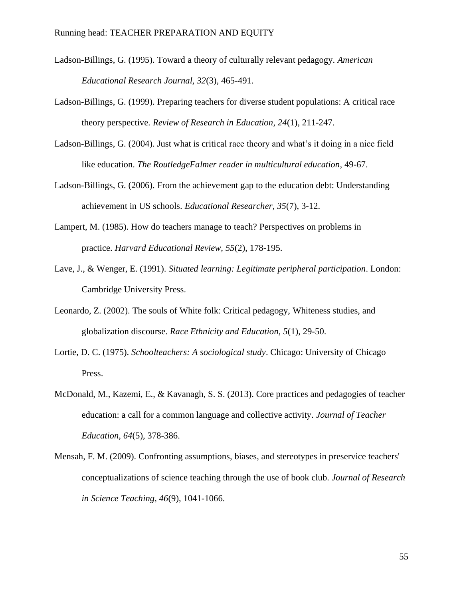- <span id="page-55-2"></span>Ladson-Billings, G. (1995). Toward a theory of culturally relevant pedagogy. *American Educational Research Journal, 32*(3), 465-491.
- <span id="page-55-3"></span>Ladson-Billings, G. (1999). Preparing teachers for diverse student populations: A critical race theory perspective. *Review of Research in Education, 24*(1), 211-247.
- <span id="page-55-6"></span>Ladson-Billings, G. (2004). Just what is critical race theory and what's it doing in a nice field like education. *The RoutledgeFalmer reader in multicultural education*, 49-67.
- <span id="page-55-4"></span><span id="page-55-1"></span>Ladson-Billings, G. (2006). From the achievement gap to the education debt: Understanding achievement in US schools. *Educational Researcher, 35*(7), 3-12.
- Lampert, M. (1985). How do teachers manage to teach? Perspectives on problems in practice. *Harvard Educational Review, 55*(2), 178-195.
- Lave, J., & Wenger, E. (1991). *Situated learning: Legitimate peripheral participation*. London: Cambridge University Press.
- Leonardo, Z. (2002). The souls of White folk: Critical pedagogy, Whiteness studies, and globalization discourse. *Race Ethnicity and Education, 5*(1), 29-50.
- Lortie, D. C. (1975). *Schoolteachers: A sociological study*. Chicago: University of Chicago Press.
- <span id="page-55-0"></span>McDonald, M., Kazemi, E., & Kavanagh, S. S. (2013). Core practices and pedagogies of teacher education: a call for a common language and collective activity. *Journal of Teacher Education, 64*(5), 378-386.
- <span id="page-55-5"></span>Mensah, F. M. (2009). Confronting assumptions, biases, and stereotypes in preservice teachers' conceptualizations of science teaching through the use of book club. *Journal of Research in Science Teaching, 46*(9), 1041-1066.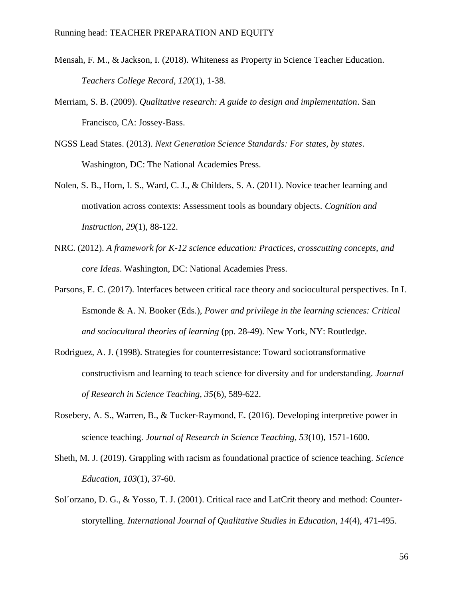- <span id="page-56-3"></span>Mensah, F. M., & Jackson, I. (2018). Whiteness as Property in Science Teacher Education. *Teachers College Record, 120*(1), 1-38.
- <span id="page-56-2"></span>Merriam, S. B. (2009). *Qualitative research: A guide to design and implementation*. San Francisco, CA: Jossey-Bass.
- <span id="page-56-0"></span>NGSS Lead States. (2013). *Next Generation Science Standards: For states, by states*. Washington, DC: The National Academies Press.
- <span id="page-56-7"></span>Nolen, S. B., Horn, I. S., Ward, C. J., & Childers, S. A. (2011). Novice teacher learning and motivation across contexts: Assessment tools as boundary objects. *Cognition and Instruction, 29*(1), 88-122.
- <span id="page-56-1"></span>NRC. (2012). *A framework for K-12 science education: Practices, crosscutting concepts, and core Ideas*. Washington, DC: National Academies Press.
- <span id="page-56-6"></span>Parsons, E. C. (2017). Interfaces between critical race theory and sociocultural perspectives. In I. Esmonde & A. N. Booker (Eds.), *Power and privilege in the learning sciences: Critical and sociocultural theories of learning* (pp. 28-49). New York, NY: Routledge.
- <span id="page-56-4"></span>Rodriguez, A. J. (1998). Strategies for counterresistance: Toward sociotransformative constructivism and learning to teach science for diversity and for understanding. *Journal of Research in Science Teaching, 35*(6), 589-622.
- <span id="page-56-5"></span>Rosebery, A. S., Warren, B., & Tucker‐Raymond, E. (2016). Developing interpretive power in science teaching. *Journal of Research in Science Teaching, 53*(10), 1571-1600.
- Sheth, M. J. (2019). Grappling with racism as foundational practice of science teaching. *Science Education, 103*(1), 37-60.
- Sol´orzano, D. G., & Yosso, T. J. (2001). Critical race and LatCrit theory and method: Counterstorytelling. *International Journal of Qualitative Studies in Education, 14*(4), 471-495.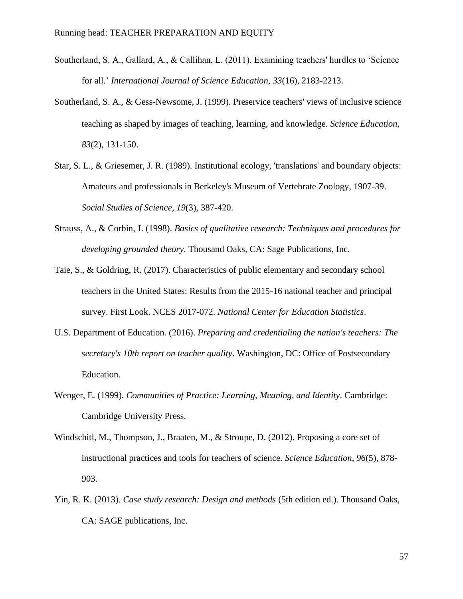- <span id="page-57-4"></span>Southerland, S. A., Gallard, A., & Callihan, L. (2011). Examining teachers' hurdles to 'Science for all.' *International Journal of Science Education, 33*(16), 2183-2213.
- <span id="page-57-5"></span>Southerland, S. A., & Gess‐Newsome, J. (1999). Preservice teachers' views of inclusive science teaching as shaped by images of teaching, learning, and knowledge. *Science Education, 83*(2), 131-150.
- <span id="page-57-6"></span>Star, S. L., & Griesemer, J. R. (1989). Institutional ecology, 'translations' and boundary objects: Amateurs and professionals in Berkeley's Museum of Vertebrate Zoology, 1907-39. *Social Studies of Science, 19*(3), 387-420.
- Strauss, A., & Corbin, J. (1998). *Basics of qualitative research: Techniques and procedures for developing grounded theory*. Thousand Oaks, CA: Sage Publications, Inc.
- <span id="page-57-0"></span>Taie, S., & Goldring, R. (2017). Characteristics of public elementary and secondary school teachers in the United States: Results from the 2015-16 national teacher and principal survey. First Look. NCES 2017-072. *National Center for Education Statistics*.
- <span id="page-57-1"></span>U.S. Department of Education. (2016). *Preparing and credentialing the nation's teachers: The secretary's 10th report on teacher quality*. Washington, DC: Office of Postsecondary Education.
- <span id="page-57-7"></span>Wenger, E. (1999). *Communities of Practice: Learning, Meaning, and Identity*. Cambridge: Cambridge University Press.
- <span id="page-57-2"></span>Windschitl, M., Thompson, J., Braaten, M., & Stroupe, D. (2012). Proposing a core set of instructional practices and tools for teachers of science. *Science Education, 96*(5), 878- 903.
- <span id="page-57-3"></span>Yin, R. K. (2013). *Case study research: Design and methods* (5th edition ed.). Thousand Oaks, CA: SAGE publications, Inc.